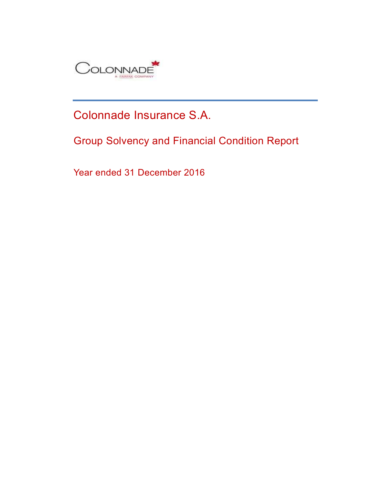

# Colonnade Insurance S.A.

Group Solvency and Financial Condition Report

Year ended 31 December 2016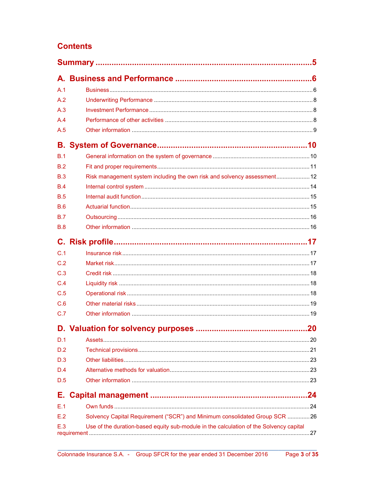## **Contents**

| A.1        |                                                                                        |
|------------|----------------------------------------------------------------------------------------|
| A.2        |                                                                                        |
| A.3        |                                                                                        |
| A.4        |                                                                                        |
| A.5        |                                                                                        |
|            |                                                                                        |
| B.1        |                                                                                        |
| B.2        |                                                                                        |
| B.3        | Risk management system including the own risk and solvency assessment 12               |
| B.4        |                                                                                        |
| B.5        |                                                                                        |
| B.6        |                                                                                        |
| <b>B.7</b> |                                                                                        |
| B.8        |                                                                                        |
| C.         |                                                                                        |
| C.1        |                                                                                        |
| C.2        |                                                                                        |
| C.3        |                                                                                        |
| C.4        |                                                                                        |
| C.5        |                                                                                        |
| C.6        |                                                                                        |
| C.7        |                                                                                        |
|            |                                                                                        |
| D.1        |                                                                                        |
| D.2        |                                                                                        |
| D.3        |                                                                                        |
| D.4        |                                                                                        |
| D.5        |                                                                                        |
| Е.         |                                                                                        |
| E.1        |                                                                                        |
| E.2        | Solvency Capital Requirement ("SCR") and Minimum consolidated Group SCR 26             |
| E.3        | Use of the duration-based equity sub-module in the calculation of the Solvency capital |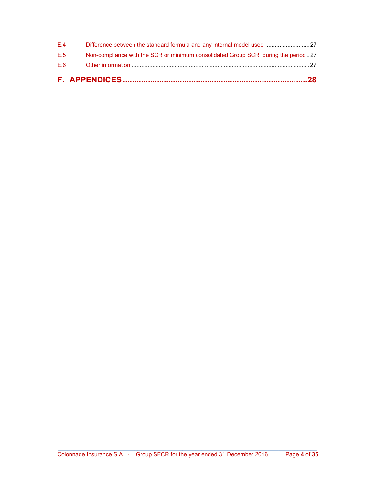| E.6 |                                                                                   |  |
|-----|-----------------------------------------------------------------------------------|--|
| E.5 | Non-compliance with the SCR or minimum consolidated Group SCR during the period27 |  |
| F.4 |                                                                                   |  |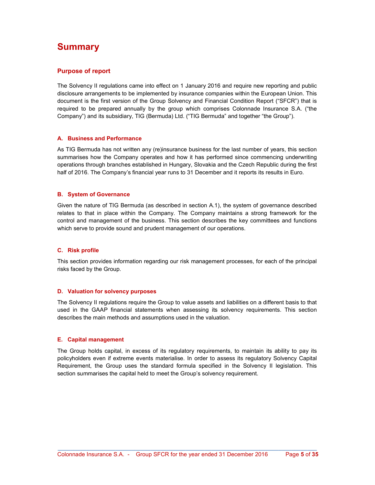## Summary

#### Purpose of report

The Solvency II regulations came into effect on 1 January 2016 and require new reporting and public disclosure arrangements to be implemented by insurance companies within the European Union. This document is the first version of the Group Solvency and Financial Condition Report ("SFCR") that is required to be prepared annually by the group which comprises Colonnade Insurance S.A. ("the Company") and its subsidiary, TIG (Bermuda) Ltd. ("TIG Bermuda" and together "the Group").

#### A. Business and Performance

As TIG Bermuda has not written any (re)insurance business for the last number of years, this section summarises how the Company operates and how it has performed since commencing underwriting operations through branches established in Hungary, Slovakia and the Czech Republic during the first half of 2016. The Company's financial year runs to 31 December and it reports its results in Euro.

#### B. System of Governance

Given the nature of TIG Bermuda (as described in section A.1), the system of governance described relates to that in place within the Company. The Company maintains a strong framework for the control and management of the business. This section describes the key committees and functions which serve to provide sound and prudent management of our operations.

#### C. Risk profile

This section provides information regarding our risk management processes, for each of the principal risks faced by the Group.

#### D. Valuation for solvency purposes

The Solvency II regulations require the Group to value assets and liabilities on a different basis to that used in the GAAP financial statements when assessing its solvency requirements. This section describes the main methods and assumptions used in the valuation.

#### E. Capital management

The Group holds capital, in excess of its regulatory requirements, to maintain its ability to pay its policyholders even if extreme events materialise. In order to assess its regulatory Solvency Capital Requirement, the Group uses the standard formula specified in the Solvency II legislation. This section summarises the capital held to meet the Group's solvency requirement.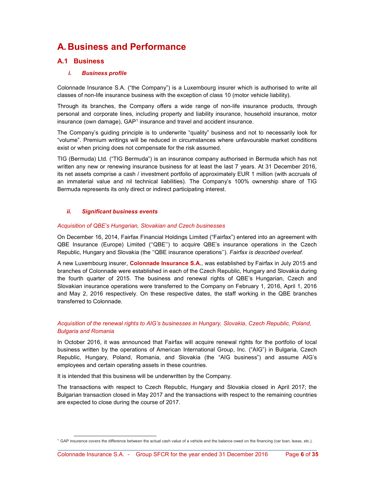## A. Business and Performance

## A.1 Business

#### i. Business profile

Colonnade Insurance S.A. ("the Company") is a Luxembourg insurer which is authorised to write all classes of non-life insurance business with the exception of class 10 (motor vehicle liability).

Through its branches, the Company offers a wide range of non-life insurance products, through personal and corporate lines, including property and liability insurance, household insurance, motor insurance (own damage),  $GAP<sup>1</sup>$  insurance and travel and accident insurance.

The Company's guiding principle is to underwrite "quality" business and not to necessarily look for "volume". Premium writings will be reduced in circumstances where unfavourable market conditions exist or when pricing does not compensate for the risk assumed.

TIG (Bermuda) Ltd. ("TIG Bermuda") is an insurance company authorised in Bermuda which has not written any new or renewing insurance business for at least the last 7 years. At 31 December 2016, its net assets comprise a cash / investment portfolio of approximately EUR 1 million (with accruals of an immaterial value and nil technical liabilities). The Company's 100% ownership share of TIG Bermuda represents its only direct or indirect participating interest.

#### ii. Significant business events

#### Acquisition of QBE's Hungarian, Slovakian and Czech businesses

On December 16, 2014, Fairfax Financial Holdings Limited ("Fairfax") entered into an agreement with QBE Insurance (Europe) Limited (''QBE'') to acquire QBE's insurance operations in the Czech Republic, Hungary and Slovakia (the "QBE insurance operations"). Fairfax is described overleaf.

A new Luxembourg insurer, Colonnade Insurance S.A., was established by Fairfax in July 2015 and branches of Colonnade were established in each of the Czech Republic, Hungary and Slovakia during the fourth quarter of 2015. The business and renewal rights of QBE's Hungarian, Czech and Slovakian insurance operations were transferred to the Company on February 1, 2016, April 1, 2016 and May 2, 2016 respectively. On these respective dates, the staff working in the QBE branches transferred to Colonnade.

#### Acquisition of the renewal rights to AIG's businesses in Hungary, Slovakia, Czech Republic, Poland, Bulgaria and Romania

In October 2016, it was announced that Fairfax will acquire renewal rights for the portfolio of local business written by the operations of American International Group, Inc. ("AIG") in Bulgaria, Czech Republic, Hungary, Poland, Romania, and Slovakia (the "AIG business") and assume AIG's employees and certain operating assets in these countries.

It is intended that this business will be underwritten by the Company.

The transactions with respect to Czech Republic, Hungary and Slovakia closed in April 2017; the Bulgarian transaction closed in May 2017 and the transactions with respect to the remaining countries are expected to close during the course of 2017.

 <sup>1</sup> GAP insurance covers the difference between the actual cash value of a vehicle and the balance owed on the financing (car loan, lease, etc.).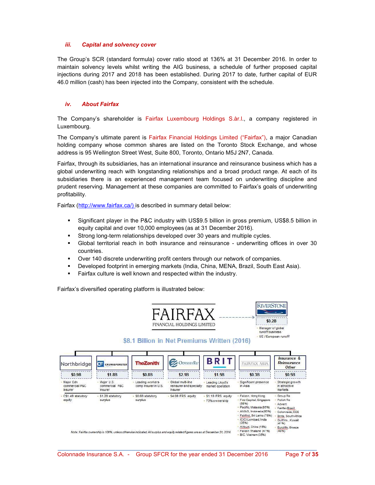#### iii. Capital and solvency cover

The Group's SCR (standard formula) cover ratio stood at 136% at 31 December 2016. In order to maintain solvency levels whilst writing the AIG business, a schedule of further proposed capital injections during 2017 and 2018 has been established. During 2017 to date, further capital of EUR 46.0 million (cash) has been injected into the Company, consistent with the schedule.

#### iv. About Fairfax

The Company's shareholder is Fairfax Luxembourg Holdings S.àr.l., a company registered in Luxembourg.

The Company's ultimate parent is Fairfax Financial Holdings Limited ("Fairfax"), a major Canadian holding company whose common shares are listed on the Toronto Stock Exchange, and whose address is 95 Wellington Street West, Suite 800, Toronto, Ontario M5J 2N7, Canada.

Fairfax, through its subsidiaries, has an international insurance and reinsurance business which has a global underwriting reach with longstanding relationships and a broad product range. At each of its subsidiaries there is an experienced management team focused on underwriting discipline and prudent reserving. Management at these companies are committed to Fairfax's goals of underwriting profitability.

Fairfax (http://www.fairfax.ca/) is described in summary detail below:

- Significant player in the P&C industry with US\$9.5 billion in gross premium, US\$8.5 billion in equity capital and over 10,000 employees (as at 31 December 2016).
- Strong long-term relationships developed over 30 years and multiple cycles.
- Global territorial reach in both insurance and reinsurance underwriting offices in over 30 countries.
- Over 140 discrete underwriting profit centers through our network of companies.
- Developed footprint in emerging markets (India, China, MENA, Brazil, South East Asia).
- Fairfax culture is well known and respected within the industry.

Fairfax's diversified operating platform is illustrated below:



\$8.1 Billion in Net Premiums Written (2016)



\_\_\_\_\_\_\_\_\_\_\_\_\_\_\_\_\_\_\_\_\_\_\_\_\_\_\_\_\_\_\_\_\_\_\_\_\_\_\_\_\_\_\_\_\_\_\_\_\_\_\_\_\_\_\_\_\_\_\_\_\_\_\_\_\_\_\_\_\_\_\_\_\_\_\_\_\_\_\_\_\_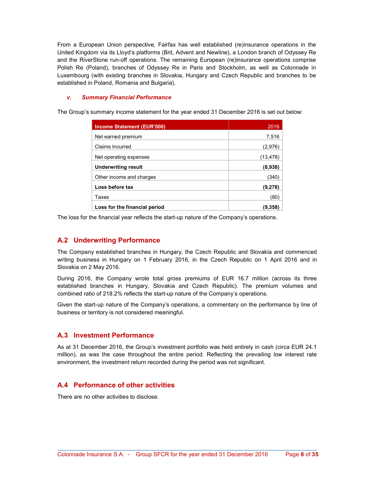From a European Union perspective, Fairfax has well established (re)insurance operations in the United Kingdom via its Lloyd's platforms (Brit, Advent and Newline), a London branch of Odyssey Re and the RiverStone run-off operations. The remaining European (re)insurance operations comprise Polish Re (Poland), branches of Odyssey Re in Paris and Stockholm, as well as Colonnade in Luxembourg (with existing branches in Slovakia, Hungary and Czech Republic and branches to be established in Poland, Romania and Bulgaria).

#### v. Summary Financial Performance

The Group's summary income statement for the year ended 31 December 2016 is set out below:

| <b>Income Statement (EUR'000)</b> | 2016      |
|-----------------------------------|-----------|
| Net earned premium                | 7,516     |
| Claims Incurred                   | (2,976)   |
| Net operating expenses            | (13, 478) |
| <b>Underwriting result</b>        | (8,938)   |
| Other income and charges          | (340      |
| Loss before tax                   | (9,278)   |
| Taxes                             | (80)      |
| Loss for the financial period     | (9.358    |

The loss for the financial year reflects the start-up nature of the Company's operations.

## A.2 Underwriting Performance

The Company established branches in Hungary, the Czech Republic and Slovakia and commenced writing business in Hungary on 1 February 2016, in the Czech Republic on 1 April 2016 and in Slovakia on 2 May 2016.

During 2016, the Company wrote total gross premiums of EUR 16.7 million (across its three established branches in Hungary, Slovakia and Czech Republic). The premium volumes and combined ratio of 218.2% reflects the start-up nature of the Company's operations.

Given the start-up nature of the Company's operations, a commentary on the performance by line of business or territory is not considered meaningful.

## A.3 Investment Performance

As at 31 December 2016, the Group's investment portfolio was held entirely in cash (circa EUR 24.1 million), as was the case throughout the entire period. Reflecting the prevailing low interest rate environment, the investment return recorded during the period was not significant.

## A.4 Performance of other activities

There are no other activities to disclose.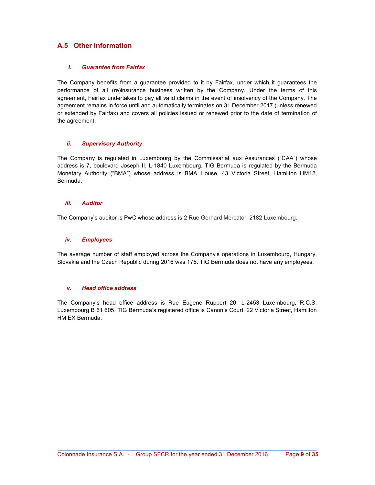## A.5 Other information

#### i. Guarantee from Fairfax

The Company benefits from a guarantee provided to it by Fairfax, under which it guarantees the performance of all (re)insurance business written by the Company. Under the terms of this agreement, Fairfax undertakes to pay all valid claims in the event of insolvency of the Company. The agreement remains in force until and automatically terminates on 31 December 2017 (unless renewed or extended by Fairfax) and covers all policies issued or renewed prior to the date of termination of the agreement.

#### ii. Supervisory Authority

The Company is regulated in Luxembourg by the Commissariat aux Assurances ("CAA") whose address is 7, boulevard Joseph II, L-1840 Luxembourg. TIG Bermuda is regulated by the Bermuda Monetary Authority ("BMA") whose address is BMA House, 43 Victoria Street, Hamilton HM12, Bermuda.

#### iii. Auditor

The Company's auditor is PwC whose address is 2 Rue Gerhard Mercator, 2182 Luxembourg.

#### iv. Employees

The average number of staff employed across the Company's operations in Luxembourg, Hungary, Slovakia and the Czech Republic during 2016 was 175. TIG Bermuda does not have any employees.

#### v. Head office address

The Company's head office address is Rue Eugene Ruppert 20, L-2453 Luxembourg, R.C.S. Luxembourg B 61 605. TIG Bermuda's registered office is Canon's Court, 22 Victoria Street, Hamilton HM EX Bermuda.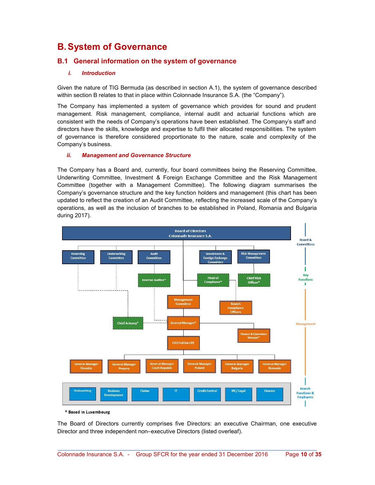## B. System of Governance

## B.1 General information on the system of governance

#### i. Introduction

Given the nature of TIG Bermuda (as described in section A.1), the system of governance described within section B relates to that in place within Colonnade Insurance S.A. (the "Company").

The Company has implemented a system of governance which provides for sound and prudent management. Risk management, compliance, internal audit and actuarial functions which are consistent with the needs of Company's operations have been established. The Company's staff and directors have the skills, knowledge and expertise to fulfil their allocated responsibilities. The system of governance is therefore considered proportionate to the nature, scale and complexity of the Company's business.

#### ii. Management and Governance Structure

The Company has a Board and, currently, four board committees being the Reserving Committee, Underwriting Committee, Investment & Foreign Exchange Committee and the Risk Management Committee (together with a Management Committee). The following diagram summarises the Company's governance structure and the key function holders and management (this chart has been updated to reflect the creation of an Audit Committee, reflecting the increased scale of the Company's operations, as well as the inclusion of branches to be established in Poland, Romania and Bulgaria during 2017).



\* Based in Luxembourg

The Board of Directors currently comprises five Directors: an executive Chairman, one executive Director and three independent non–executive Directors (listed overleaf).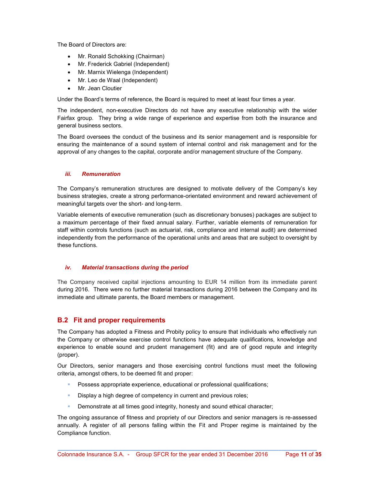The Board of Directors are:

- Mr. Ronald Schokking (Chairman)
- Mr. Frederick Gabriel (Independent)
- Mr. Marnix Wielenga (Independent)
- Mr. Leo de Waal (Independent)
- Mr. Jean Cloutier

Under the Board's terms of reference, the Board is required to meet at least four times a year.

The independent, non-executive Directors do not have any executive relationship with the wider Fairfax group. They bring a wide range of experience and expertise from both the insurance and general business sectors.

The Board oversees the conduct of the business and its senior management and is responsible for ensuring the maintenance of a sound system of internal control and risk management and for the approval of any changes to the capital, corporate and/or management structure of the Company.

#### iii. Remuneration

The Company's remuneration structures are designed to motivate delivery of the Company's key business strategies, create a strong performance-orientated environment and reward achievement of meaningful targets over the short- and long-term.

Variable elements of executive remuneration (such as discretionary bonuses) packages are subject to a maximum percentage of their fixed annual salary. Further, variable elements of remuneration for staff within controls functions (such as actuarial, risk, compliance and internal audit) are determined independently from the performance of the operational units and areas that are subject to oversight by these functions.

#### iv. Material transactions during the period

The Company received capital injections amounting to EUR 14 million from its immediate parent during 2016. There were no further material transactions during 2016 between the Company and its immediate and ultimate parents, the Board members or management.

## B.2 Fit and proper requirements

The Company has adopted a Fitness and Probity policy to ensure that individuals who effectively run the Company or otherwise exercise control functions have adequate qualifications, knowledge and experience to enable sound and prudent management (fit) and are of good repute and integrity (proper).

Our Directors, senior managers and those exercising control functions must meet the following criteria, amongst others, to be deemed fit and proper:

- Possess appropriate experience, educational or professional qualifications;
- Display a high degree of competency in current and previous roles;
- Demonstrate at all times good integrity, honesty and sound ethical character;

The ongoing assurance of fitness and propriety of our Directors and senior managers is re-assessed annually. A register of all persons falling within the Fit and Proper regime is maintained by the Compliance function.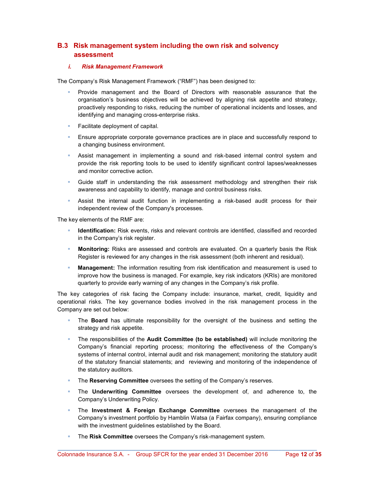## B.3 Risk management system including the own risk and solvency assessment

#### i. Risk Management Framework

The Company's Risk Management Framework ("RMF") has been designed to:

- Provide management and the Board of Directors with reasonable assurance that the organisation's business objectives will be achieved by aligning risk appetite and strategy, proactively responding to risks, reducing the number of operational incidents and losses, and identifying and managing cross-enterprise risks.
- Facilitate deployment of capital.
- Ensure appropriate corporate governance practices are in place and successfully respond to a changing business environment.
- Assist management in implementing a sound and risk-based internal control system and provide the risk reporting tools to be used to identify significant control lapses/weaknesses and monitor corrective action.
- Guide staff in understanding the risk assessment methodology and strengthen their risk awareness and capability to identify, manage and control business risks.
- Assist the internal audit function in implementing a risk-based audit process for their independent review of the Company's processes.

The key elements of the RMF are:

- Identification: Risk events, risks and relevant controls are identified, classified and recorded in the Company's risk register.
- Monitoring: Risks are assessed and controls are evaluated. On a quarterly basis the Risk Register is reviewed for any changes in the risk assessment (both inherent and residual).
- Management: The information resulting from risk identification and measurement is used to improve how the business is managed. For example, key risk indicators (KRIs) are monitored quarterly to provide early warning of any changes in the Company's risk profile.

The key categories of risk facing the Company include: insurance, market, credit, liquidity and operational risks. The key governance bodies involved in the risk management process in the Company are set out below:

- The **Board** has ultimate responsibility for the oversight of the business and setting the strategy and risk appetite.
- The responsibilities of the Audit Committee (to be established) will include monitoring the Company's financial reporting process; monitoring the effectiveness of the Company's systems of internal control, internal audit and risk management; monitoring the statutory audit of the statutory financial statements; and reviewing and monitoring of the independence of the statutory auditors.
- The Reserving Committee oversees the setting of the Company's reserves.
- The Underwriting Committee oversees the development of, and adherence to, the Company's Underwriting Policy.
- The Investment & Foreign Exchange Committee oversees the management of the Company's investment portfolio by Hamblin Watsa (a Fairfax company), ensuring compliance with the investment guidelines established by the Board.
- The Risk Committee oversees the Company's risk-management system.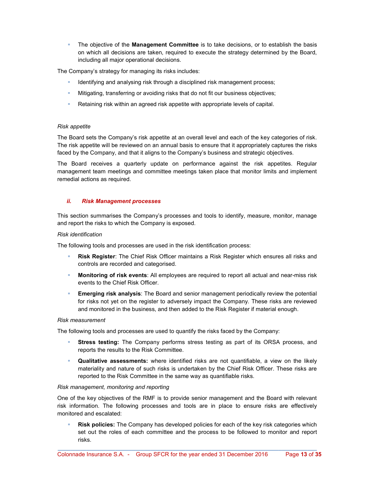The objective of the **Management Committee** is to take decisions, or to establish the basis on which all decisions are taken, required to execute the strategy determined by the Board, including all major operational decisions.

The Company's strategy for managing its risks includes:

- Identifying and analysing risk through a disciplined risk management process;
- Mitigating, transferring or avoiding risks that do not fit our business objectives;
- Retaining risk within an agreed risk appetite with appropriate levels of capital.

#### Risk appetite

The Board sets the Company's risk appetite at an overall level and each of the key categories of risk. The risk appetite will be reviewed on an annual basis to ensure that it appropriately captures the risks faced by the Company, and that it aligns to the Company's business and strategic objectives.

The Board receives a quarterly update on performance against the risk appetites. Regular management team meetings and committee meetings taken place that monitor limits and implement remedial actions as required.

#### ii. Risk Management processes

This section summarises the Company's processes and tools to identify, measure, monitor, manage and report the risks to which the Company is exposed.

#### Risk identification

The following tools and processes are used in the risk identification process:

- Risk Register: The Chief Risk Officer maintains a Risk Register which ensures all risks and controls are recorded and categorised.
- Monitoring of risk events: All employees are required to report all actual and near-miss risk events to the Chief Risk Officer.
- **Emerging risk analysis:** The Board and senior management periodically review the potential for risks not yet on the register to adversely impact the Company. These risks are reviewed and monitored in the business, and then added to the Risk Register if material enough.

#### Risk measurement

The following tools and processes are used to quantify the risks faced by the Company:

- Stress testing: The Company performs stress testing as part of its ORSA process, and reports the results to the Risk Committee.
- Qualitative assessments: where identified risks are not quantifiable, a view on the likely materiality and nature of such risks is undertaken by the Chief Risk Officer. These risks are reported to the Risk Committee in the same way as quantifiable risks.

#### Risk management, monitoring and reporting

One of the key objectives of the RMF is to provide senior management and the Board with relevant risk information. The following processes and tools are in place to ensure risks are effectively monitored and escalated:

 Risk policies: The Company has developed policies for each of the key risk categories which set out the roles of each committee and the process to be followed to monitor and report risks.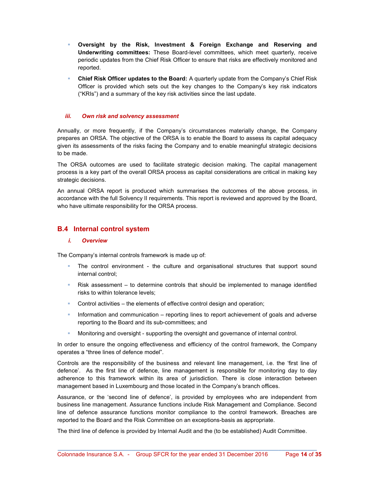- Oversight by the Risk, Investment & Foreign Exchange and Reserving and Underwriting committees: These Board-level committees, which meet quarterly, receive periodic updates from the Chief Risk Officer to ensure that risks are effectively monitored and reported.
- Chief Risk Officer updates to the Board: A quarterly update from the Company's Chief Risk Officer is provided which sets out the key changes to the Company's key risk indicators ("KRIs") and a summary of the key risk activities since the last update.

#### iii. Own risk and solvency assessment

Annually, or more frequently, if the Company's circumstances materially change, the Company prepares an ORSA. The objective of the ORSA is to enable the Board to assess its capital adequacy given its assessments of the risks facing the Company and to enable meaningful strategic decisions to be made.

The ORSA outcomes are used to facilitate strategic decision making. The capital management process is a key part of the overall ORSA process as capital considerations are critical in making key strategic decisions.

An annual ORSA report is produced which summarises the outcomes of the above process, in accordance with the full Solvency II requirements. This report is reviewed and approved by the Board, who have ultimate responsibility for the ORSA process.

## B.4 Internal control system

#### i. Overview

The Company's internal controls framework is made up of:

- The control environment the culture and organisational structures that support sound internal control;
- Risk assessment to determine controls that should be implemented to manage identified risks to within tolerance levels;
- Control activities the elements of effective control design and operation;
- Information and communication reporting lines to report achievement of goals and adverse reporting to the Board and its sub-committees; and
- Monitoring and oversight supporting the oversight and governance of internal control.

In order to ensure the ongoing effectiveness and efficiency of the control framework, the Company operates a "three lines of defence model".

Controls are the responsibility of the business and relevant line management, i.e. the 'first line of defence'. As the first line of defence, line management is responsible for monitoring day to day adherence to this framework within its area of jurisdiction. There is close interaction between management based in Luxembourg and those located in the Company's branch offices.

Assurance, or the 'second line of defence', is provided by employees who are independent from business line management. Assurance functions include Risk Management and Compliance. Second line of defence assurance functions monitor compliance to the control framework. Breaches are reported to the Board and the Risk Committee on an exceptions-basis as appropriate.

The third line of defence is provided by Internal Audit and the (to be established) Audit Committee.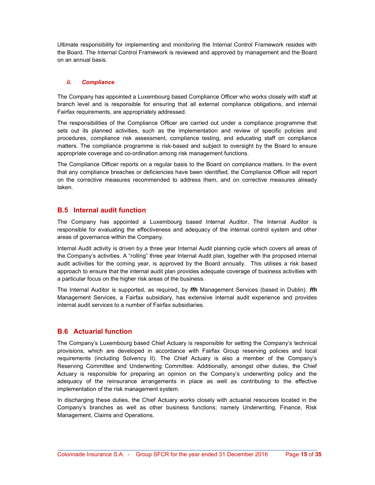Ultimate responsibility for implementing and monitoring the Internal Control Framework resides with the Board. The Internal Control Framework is reviewed and approved by management and the Board on an annual basis.

#### ii. Compliance

The Company has appointed a Luxembourg based Compliance Officer who works closely with staff at branch level and is responsible for ensuring that all external compliance obligations, and internal Fairfax requirements, are appropriately addressed.

The responsibilities of the Compliance Officer are carried out under a compliance programme that sets out its planned activities, such as the implementation and review of specific policies and procedures, compliance risk assessment, compliance testing, and educating staff on compliance matters. The compliance programme is risk-based and subject to oversight by the Board to ensure appropriate coverage and co-ordination among risk management functions.

The Compliance Officer reports on a regular basis to the Board on compliance matters. In the event that any compliance breaches or deficiencies have been identified, the Compliance Officer will report on the corrective measures recommended to address them, and on corrective measures already taken.

## B.5 Internal audit function

The Company has appointed a Luxembourg based Internal Auditor. The Internal Auditor is responsible for evaluating the effectiveness and adequacy of the internal control system and other areas of governance within the Company.

Internal Audit activity is driven by a three year Internal Audit planning cycle which covers all areas of the Company's activities. A "rolling" three year Internal Audit plan, together with the proposed internal audit activities for the coming year, is approved by the Board annually. This utilises a risk based approach to ensure that the internal audit plan provides adequate coverage of business activities with a particular focus on the higher risk areas of the business.

The Internal Auditor is supported, as required, by *ffh* Management Services (based in Dublin). *ffh* Management Services, a Fairfax subsidiary, has extensive internal audit experience and provides internal audit services to a number of Fairfax subsidiaries.

## B.6 Actuarial function

The Company's Luxembourg based Chief Actuary is responsible for setting the Company's technical provisions, which are developed in accordance with Fairfax Group reserving policies and local requirements (including Solvency II). The Chief Actuary is also a member of the Company's Reserving Committee and Underwriting Committee. Additionally, amongst other duties, the Chief Actuary is responsible for preparing an opinion on the Company's underwriting policy and the adequacy of the reinsurance arrangements in place as well as contributing to the effective implementation of the risk management system.

In discharging these duties, the Chief Actuary works closely with actuarial resources located in the Company's branches as well as other business functions; namely Underwriting, Finance, Risk Management, Claims and Operations.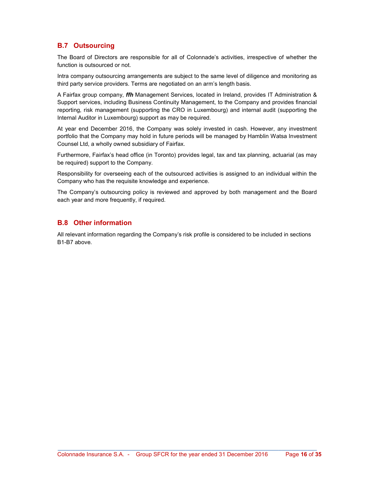## B.7 Outsourcing

The Board of Directors are responsible for all of Colonnade's activities, irrespective of whether the function is outsourced or not.

Intra company outsourcing arrangements are subject to the same level of diligence and monitoring as third party service providers. Terms are negotiated on an arm's length basis.

A Fairfax group company, ffh Management Services, located in Ireland, provides IT Administration & Support services, including Business Continuity Management, to the Company and provides financial reporting, risk management (supporting the CRO in Luxembourg) and internal audit (supporting the Internal Auditor in Luxembourg) support as may be required.

At year end December 2016, the Company was solely invested in cash. However, any investment portfolio that the Company may hold in future periods will be managed by Hamblin Watsa Investment Counsel Ltd, a wholly owned subsidiary of Fairfax.

Furthermore, Fairfax's head office (in Toronto) provides legal, tax and tax planning, actuarial (as may be required) support to the Company.

Responsibility for overseeing each of the outsourced activities is assigned to an individual within the Company who has the requisite knowledge and experience.

The Company's outsourcing policy is reviewed and approved by both management and the Board each year and more frequently, if required.

## B.8 Other information

All relevant information regarding the Company's risk profile is considered to be included in sections B1-B7 above.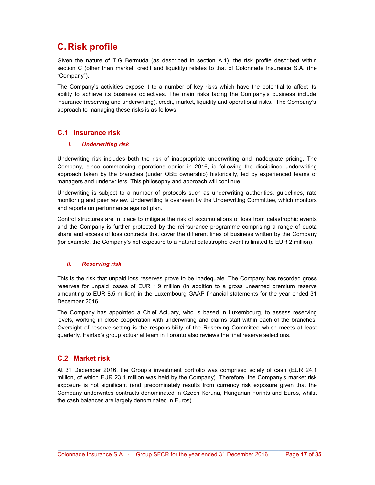## C. Risk profile

Given the nature of TIG Bermuda (as described in section A.1), the risk profile described within section C (other than market, credit and liquidity) relates to that of Colonnade Insurance S.A. (the "Company").

The Company's activities expose it to a number of key risks which have the potential to affect its ability to achieve its business objectives. The main risks facing the Company's business include insurance (reserving and underwriting), credit, market, liquidity and operational risks. The Company's approach to managing these risks is as follows:

## C.1 Insurance risk

#### i. Underwriting risk

Underwriting risk includes both the risk of inappropriate underwriting and inadequate pricing. The Company, since commencing operations earlier in 2016, is following the disciplined underwriting approach taken by the branches (under QBE ownership) historically, led by experienced teams of managers and underwriters. This philosophy and approach will continue.

Underwriting is subject to a number of protocols such as underwriting authorities, guidelines, rate monitoring and peer review. Underwriting is overseen by the Underwriting Committee, which monitors and reports on performance against plan.

Control structures are in place to mitigate the risk of accumulations of loss from catastrophic events and the Company is further protected by the reinsurance programme comprising a range of quota share and excess of loss contracts that cover the different lines of business written by the Company (for example, the Company's net exposure to a natural catastrophe event is limited to EUR 2 million).

#### ii. Reserving risk

This is the risk that unpaid loss reserves prove to be inadequate. The Company has recorded gross reserves for unpaid losses of EUR 1.9 million (in addition to a gross unearned premium reserve amounting to EUR 8.5 million) in the Luxembourg GAAP financial statements for the year ended 31 December 2016.

The Company has appointed a Chief Actuary, who is based in Luxembourg, to assess reserving levels, working in close cooperation with underwriting and claims staff within each of the branches. Oversight of reserve setting is the responsibility of the Reserving Committee which meets at least quarterly. Fairfax's group actuarial team in Toronto also reviews the final reserve selections.

## C.2 Market risk

At 31 December 2016, the Group's investment portfolio was comprised solely of cash (EUR 24.1 million, of which EUR 23.1 million was held by the Company). Therefore, the Company's market risk exposure is not significant (and predominately results from currency risk exposure given that the Company underwrites contracts denominated in Czech Koruna, Hungarian Forints and Euros, whilst the cash balances are largely denominated in Euros).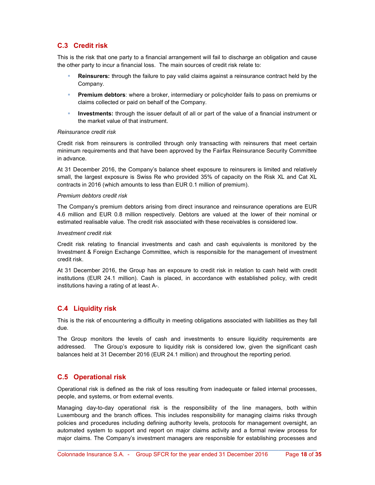## C.3 Credit risk

This is the risk that one party to a financial arrangement will fail to discharge an obligation and cause the other party to incur a financial loss. The main sources of credit risk relate to:

- Reinsurers: through the failure to pay valid claims against a reinsurance contract held by the Company.
- Premium debtors: where a broker, intermediary or policyholder fails to pass on premiums or claims collected or paid on behalf of the Company.
- **Investments:** through the issuer default of all or part of the value of a financial instrument or the market value of that instrument.

#### Reinsurance credit risk

Credit risk from reinsurers is controlled through only transacting with reinsurers that meet certain minimum requirements and that have been approved by the Fairfax Reinsurance Security Committee in advance.

At 31 December 2016, the Company's balance sheet exposure to reinsurers is limited and relatively small, the largest exposure is Swiss Re who provided 35% of capacity on the Risk XL and Cat XL contracts in 2016 (which amounts to less than EUR 0.1 million of premium).

#### Premium debtors credit risk

The Company's premium debtors arising from direct insurance and reinsurance operations are EUR 4.6 million and EUR 0.8 million respectively. Debtors are valued at the lower of their nominal or estimated realisable value. The credit risk associated with these receivables is considered low.

#### Investment credit risk

Credit risk relating to financial investments and cash and cash equivalents is monitored by the Investment & Foreign Exchange Committee, which is responsible for the management of investment credit risk.

At 31 December 2016, the Group has an exposure to credit risk in relation to cash held with credit institutions (EUR 24.1 million). Cash is placed, in accordance with established policy, with credit institutions having a rating of at least A-.

## C.4 Liquidity risk

This is the risk of encountering a difficulty in meeting obligations associated with liabilities as they fall due.

The Group monitors the levels of cash and investments to ensure liquidity requirements are addressed. The Group's exposure to liquidity risk is considered low, given the significant cash balances held at 31 December 2016 (EUR 24.1 million) and throughout the reporting period.

## C.5 Operational risk

Operational risk is defined as the risk of loss resulting from inadequate or failed internal processes, people, and systems, or from external events.

Managing day-to-day operational risk is the responsibility of the line managers, both within Luxembourg and the branch offices. This includes responsibility for managing claims risks through policies and procedures including defining authority levels, protocols for management oversight, an automated system to support and report on major claims activity and a formal review process for major claims. The Company's investment managers are responsible for establishing processes and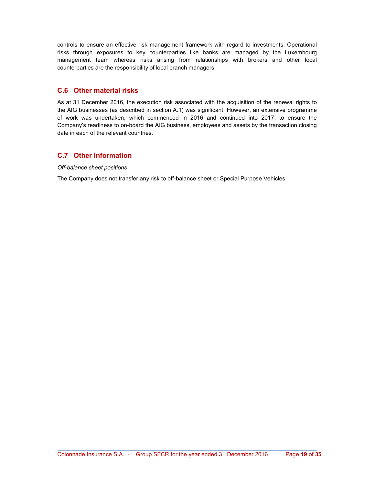controls to ensure an effective risk management framework with regard to investments. Operational risks through exposures to key counterparties like banks are managed by the Luxembourg management team whereas risks arising from relationships with brokers and other local counterparties are the responsibility of local branch managers.

## C.6 Other material risks

As at 31 December 2016, the execution risk associated with the acquisition of the renewal rights to the AIG businesses (as described in section A.1) was significant. However, an extensive programme of work was undertaken, which commenced in 2016 and continued into 2017, to ensure the Company's readiness to on-board the AIG business, employees and assets by the transaction closing date in each of the relevant countries.

## C.7 Other information

Off-balance sheet positions

The Company does not transfer any risk to off-balance sheet or Special Purpose Vehicles.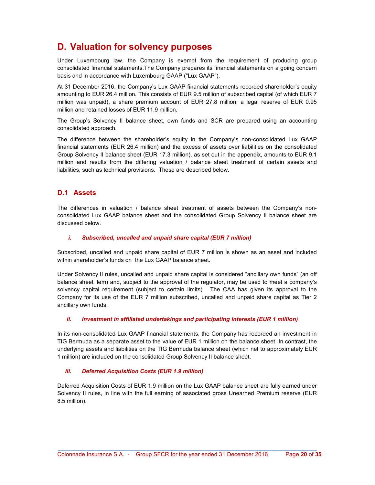## D. Valuation for solvency purposes

Under Luxembourg law, the Company is exempt from the requirement of producing group consolidated financial statements.The Company prepares its financial statements on a going concern basis and in accordance with Luxembourg GAAP ("Lux GAAP").

At 31 December 2016, the Company's Lux GAAP financial statements recorded shareholder's equity amounting to EUR 26.4 million. This consists of EUR 9.5 million of subscribed capital (of which EUR 7 million was unpaid), a share premium account of EUR 27.8 million, a legal reserve of EUR 0.95 million and retained losses of EUR 11.9 million.

The Group's Solvency II balance sheet, own funds and SCR are prepared using an accounting consolidated approach.

The difference between the shareholder's equity in the Company's non-consolidated Lux GAAP financial statements (EUR 26.4 million) and the excess of assets over liabilities on the consolidated Group Solvency II balance sheet (EUR 17.3 million), as set out in the appendix, amounts to EUR 9.1 million and results from the differing valuation / balance sheet treatment of certain assets and liabilities, such as technical provisions. These are described below.

## D.1 Assets

The differences in valuation / balance sheet treatment of assets between the Company's nonconsolidated Lux GAAP balance sheet and the consolidated Group Solvency II balance sheet are discussed below.

#### i. Subscribed, uncalled and unpaid share capital (EUR 7 million)

Subscribed, uncalled and unpaid share capital of EUR 7 million is shown as an asset and included within shareholder's funds on the Lux GAAP balance sheet.

Under Solvency II rules, uncalled and unpaid share capital is considered "ancillary own funds" (an off balance sheet item) and, subject to the approval of the regulator, may be used to meet a company's solvency capital requirement (subject to certain limits). The CAA has given its approval to the Company for its use of the EUR 7 million subscribed, uncalled and unpaid share capital as Tier 2 ancillary own funds.

#### ii. Investment in affiliated undertakings and participating interests (EUR 1 million)

In its non-consolidated Lux GAAP financial statements, the Company has recorded an investment in TIG Bermuda as a separate asset to the value of EUR 1 million on the balance sheet. In contrast, the underlying assets and liabilities on the TIG Bermuda balance sheet (which net to approximately EUR 1 million) are included on the consolidated Group Solvency II balance sheet.

#### iii. Deferred Acquisition Costs (EUR 1.9 million)

Deferred Acquisition Costs of EUR 1.9 million on the Lux GAAP balance sheet are fully earned under Solvency II rules, in line with the full earning of associated gross Unearned Premium reserve (EUR 8.5 million).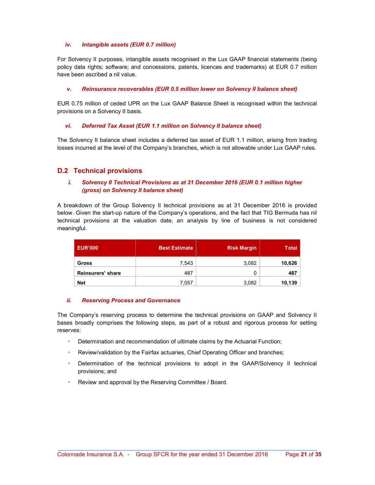#### iv. Intangible assets (EUR 0.7 million)

For Solvency II purposes, intangible assets recognised in the Lux GAAP financial statements (being policy data rights; software; and concessions, patents, licences and trademarks) at EUR 0.7 million have been ascribed a nil value.

#### v. Reinsurance recoverables (EUR 0.5 million lower on Solvency II balance sheet)

EUR 0.75 million of ceded UPR on the Lux GAAP Balance Sheet is recognised within the technical provisions on a Solvency II basis.

#### vi. Deferred Tax Asset (EUR 1.1 million on Solvency II balance sheet)

The Solvency II balance sheet includes a deferred tax asset of EUR 1.1 million, arising from trading losses incurred at the level of the Company's branches, which is not allowable under Lux GAAP rules.

## D.2 Technical provisions

#### i. Solvency II Technical Provisions as at 31 December 2016 (EUR 0.1 million higher (gross) on Solvency II balance sheet)

A breakdown of the Group Solvency II technical provisions as at 31 December 2016 is provided below. Given the start-up nature of the Company's operations, and the fact that TIG Bermuda has nil technical provisions at the valuation date, an analysis by line of business is not considered meaningful.

| <b>EUR'000</b>    | <b>Best Estimate</b> | <b>Risk Margin</b> | <b>Total</b> |
|-------------------|----------------------|--------------------|--------------|
| <b>Gross</b>      | 7,543                | 3,082              | 10,626       |
| Reinsurers' share | 487                  |                    | 487          |
| <b>Net</b>        | 7,057                | 3,082              | 10,139       |

#### ii. Reserving Process and Governance

The Company's reserving process to determine the technical provisions on GAAP and Solvency II bases broadly comprises the following steps, as part of a robust and rigorous process for setting reserves:

- Determination and recommendation of ultimate claims by the Actuarial Function;
- Review/validation by the Fairfax actuaries, Chief Operating Officer and branches;
- Determination of the technical provisions to adopt in the GAAP/Solvency II technical provisions; and
- Review and approval by the Reserving Committee / Board.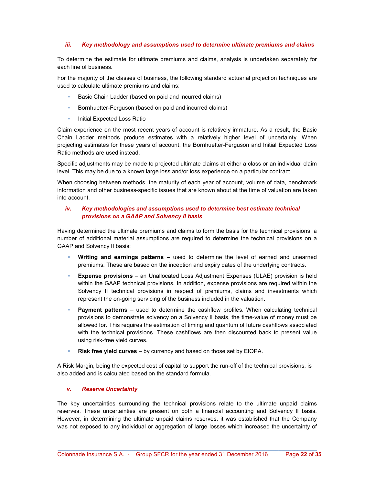#### iii. Key methodology and assumptions used to determine ultimate premiums and claims

To determine the estimate for ultimate premiums and claims, analysis is undertaken separately for each line of business.

For the majority of the classes of business, the following standard actuarial projection techniques are used to calculate ultimate premiums and claims:

- Basic Chain Ladder (based on paid and incurred claims)
- **Bornhuetter-Ferguson (based on paid and incurred claims)**
- **Initial Expected Loss Ratio**

Claim experience on the most recent years of account is relatively immature. As a result, the Basic Chain Ladder methods produce estimates with a relatively higher level of uncertainty. When projecting estimates for these years of account, the Bornhuetter-Ferguson and Initial Expected Loss Ratio methods are used instead.

Specific adjustments may be made to projected ultimate claims at either a class or an individual claim level. This may be due to a known large loss and/or loss experience on a particular contract.

When choosing between methods, the maturity of each year of account, volume of data, benchmark information and other business-specific issues that are known about at the time of valuation are taken into account.

#### iv. Key methodologies and assumptions used to determine best estimate technical provisions on a GAAP and Solvency II basis

Having determined the ultimate premiums and claims to form the basis for the technical provisions, a number of additional material assumptions are required to determine the technical provisions on a GAAP and Solvency II basis:

- Writing and earnings patterns used to determine the level of earned and unearned premiums. These are based on the inception and expiry dates of the underlying contracts.
- Expense provisions an Unallocated Loss Adjustment Expenses (ULAE) provision is held within the GAAP technical provisions. In addition, expense provisions are required within the Solvency II technical provisions in respect of premiums, claims and investments which represent the on-going servicing of the business included in the valuation.
- Payment patterns used to determine the cashflow profiles. When calculating technical provisions to demonstrate solvency on a Solvency II basis, the time-value of money must be allowed for. This requires the estimation of timing and quantum of future cashflows associated with the technical provisions. These cashflows are then discounted back to present value using risk-free yield curves.
- Risk free yield curves by currency and based on those set by EIOPA.

A Risk Margin, being the expected cost of capital to support the run-off of the technical provisions, is also added and is calculated based on the standard formula.

#### v. Reserve Uncertainty

The key uncertainties surrounding the technical provisions relate to the ultimate unpaid claims reserves. These uncertainties are present on both a financial accounting and Solvency II basis. However, in determining the ultimate unpaid claims reserves, it was established that the Company was not exposed to any individual or aggregation of large losses which increased the uncertainty of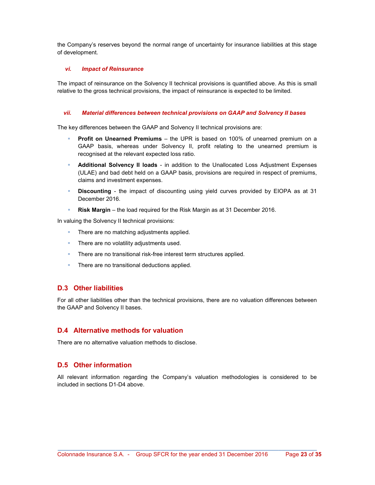the Company's reserves beyond the normal range of uncertainty for insurance liabilities at this stage of development.

#### vi. Impact of Reinsurance

The impact of reinsurance on the Solvency II technical provisions is quantified above. As this is small relative to the gross technical provisions, the impact of reinsurance is expected to be limited.

#### vii. Material differences between technical provisions on GAAP and Solvency II bases

The key differences between the GAAP and Solvency II technical provisions are:

- Profit on Unearned Premiums the UPR is based on 100% of unearned premium on a GAAP basis, whereas under Solvency II, profit relating to the unearned premium is recognised at the relevant expected loss ratio.
- Additional Solvency II loads in addition to the Unallocated Loss Adjustment Expenses (ULAE) and bad debt held on a GAAP basis, provisions are required in respect of premiums, claims and investment expenses.
- **Discounting** the impact of discounting using yield curves provided by EIOPA as at 31 December 2016.
- **Risk Margin** the load required for the Risk Margin as at 31 December 2016.

In valuing the Solvency II technical provisions:

- There are no matching adjustments applied.
- **There are no volatility adjustments used.**
- There are no transitional risk-free interest term structures applied.
- There are no transitional deductions applied.

#### D.3 Other liabilities

For all other liabilities other than the technical provisions, there are no valuation differences between the GAAP and Solvency II bases.

#### D.4 Alternative methods for valuation

There are no alternative valuation methods to disclose.

## D.5 Other information

All relevant information regarding the Company's valuation methodologies is considered to be included in sections D1-D4 above.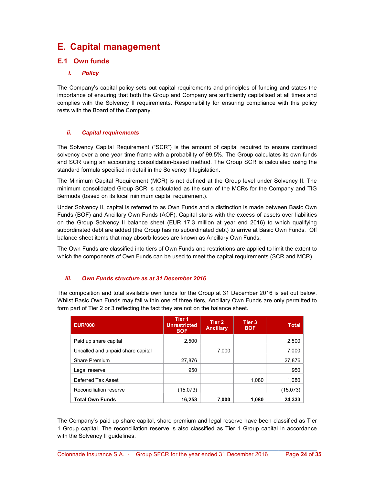## E. Capital management

## E.1 Own funds

#### i. Policy

The Company's capital policy sets out capital requirements and principles of funding and states the importance of ensuring that both the Group and Company are sufficiently capitalised at all times and complies with the Solvency II requirements. Responsibility for ensuring compliance with this policy rests with the Board of the Company.

#### ii. Capital requirements

The Solvency Capital Requirement ("SCR") is the amount of capital required to ensure continued solvency over a one year time frame with a probability of 99.5%. The Group calculates its own funds and SCR using an accounting consolidation-based method. The Group SCR is calculated using the standard formula specified in detail in the Solvency II legislation.

The Minimum Capital Requirement (MCR) is not defined at the Group level under Solvency II. The minimum consolidated Group SCR is calculated as the sum of the MCRs for the Company and TIG Bermuda (based on its local minimum capital requirement).

Under Solvency II, capital is referred to as Own Funds and a distinction is made between Basic Own Funds (BOF) and Ancillary Own Funds (AOF). Capital starts with the excess of assets over liabilities on the Group Solvency II balance sheet (EUR 17.3 million at year end 2016) to which qualifying subordinated debt are added (the Group has no subordinated debt) to arrive at Basic Own Funds. Off balance sheet items that may absorb losses are known as Ancillary Own Funds.

The Own Funds are classified into tiers of Own Funds and restrictions are applied to limit the extent to which the components of Own Funds can be used to meet the capital requirements (SCR and MCR).

#### iii. Own Funds structure as at 31 December 2016

The composition and total available own funds for the Group at 31 December 2016 is set out below. Whilst Basic Own Funds may fall within one of three tiers, Ancillary Own Funds are only permitted to form part of Tier 2 or 3 reflecting the fact they are not on the balance sheet.

| <b>EUR'000</b>                    | Tier <sub>1</sub><br><b>Unrestricted</b><br><b>BOF</b> | Tier 2<br><b>Ancillary</b> | Tier 3<br><b>BOF</b> | <b>Total</b> |
|-----------------------------------|--------------------------------------------------------|----------------------------|----------------------|--------------|
| Paid up share capital             | 2,500                                                  |                            |                      | 2,500        |
| Uncalled and unpaid share capital |                                                        | 7,000                      |                      | 7,000        |
| Share Premium                     | 27,876                                                 |                            |                      | 27,876       |
| Legal reserve                     | 950                                                    |                            |                      | 950          |
| Deferred Tax Asset                |                                                        |                            | 1,080                | 1,080        |
| Reconciliation reserve            | (15,073)                                               |                            |                      | (15,073)     |
| <b>Total Own Funds</b>            | 16,253                                                 | 7.000                      | 1.080                | 24,333       |

The Company's paid up share capital, share premium and legal reserve have been classified as Tier 1 Group capital. The reconciliation reserve is also classified as Tier 1 Group capital in accordance with the Solvency II guidelines.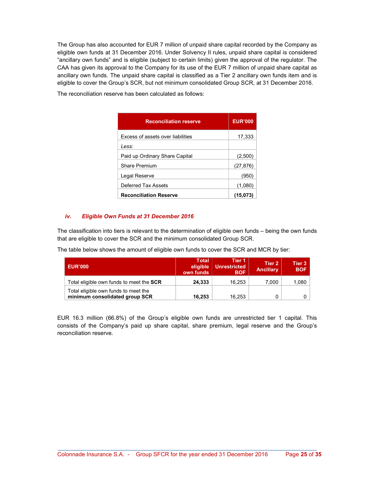The Group has also accounted for EUR 7 million of unpaid share capital recorded by the Company as eligible own funds at 31 December 2016. Under Solvency II rules, unpaid share capital is considered "ancillary own funds" and is eligible (subject to certain limits) given the approval of the regulator. The CAA has given its approval to the Company for its use of the EUR 7 million of unpaid share capital as ancillary own funds. The unpaid share capital is classified as a Tier 2 ancillary own funds item and is eligible to cover the Group's SCR, but not minimum consolidated Group SCR, at 31 December 2016.

The reconciliation reserve has been calculated as follows:

| <b>Reconciliation reserve</b>     | <b>EUR'000</b> |
|-----------------------------------|----------------|
| Excess of assets over liabilities | 17,333         |
| Less:                             |                |
| Paid up Ordinary Share Capital    | (2,500         |
| <b>Share Premium</b>              | (27, 876)      |
| Legal Reserve                     | (950           |
| Deferred Tax Assets               | (1,080)        |
| <b>Reconciliation Reserve</b>     | (15,073        |

#### iv. Eligible Own Funds at 31 December 2016

The classification into tiers is relevant to the determination of eligible own funds – being the own funds that are eligible to cover the SCR and the minimum consolidated Group SCR.

The table below shows the amount of eligible own funds to cover the SCR and MCR by tier:

| <b>EUR'000</b>                                                         | <b>Total</b><br>eligible<br>own funds | Tier <sub>1</sub><br><b>Unrestricted</b><br><b>BOF</b> | Tier 2<br><b>Ancillary</b> | Tier 3<br><b>BOF</b> |
|------------------------------------------------------------------------|---------------------------------------|--------------------------------------------------------|----------------------------|----------------------|
| Total eligible own funds to meet the SCR                               | 24.333                                | 16.253                                                 | 7.000                      | 1,080                |
| Total eligible own funds to meet the<br>minimum consolidated group SCR | 16.253                                | 16.253                                                 |                            |                      |

EUR 16.3 million (66.8%) of the Group's eligible own funds are unrestricted tier 1 capital. This consists of the Company's paid up share capital, share premium, legal reserve and the Group's reconciliation reserve.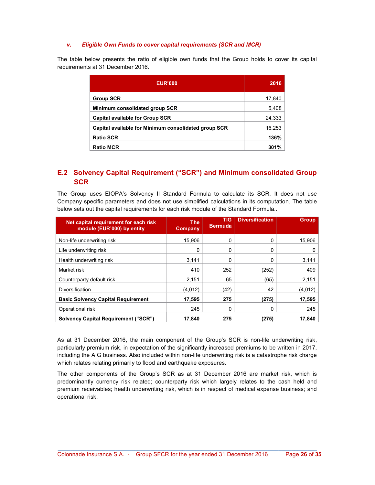#### v. Eligible Own Funds to cover capital requirements (SCR and MCR)

The table below presents the ratio of eligible own funds that the Group holds to cover its capital requirements at 31 December 2016.

| <b>EUR'000</b>                                       | 2016   |
|------------------------------------------------------|--------|
| <b>Group SCR</b>                                     | 17,840 |
| Minimum consolidated group SCR                       | 5,408  |
| <b>Capital available for Group SCR</b>               | 24,333 |
| Capital available for Minimum consolidated group SCR | 16,253 |
| <b>Ratio SCR</b>                                     | 136%   |
| <b>Ratio MCR</b>                                     | 301%   |

## E.2 Solvency Capital Requirement ("SCR") and Minimum consolidated Group **SCR**

The Group uses EIOPA's Solvency II Standard Formula to calculate its SCR. It does not use Company specific parameters and does not use simplified calculations in its computation. The table below sets out the capital requirements for each risk module of the Standard Formula..

| Net capital requirement for each risk<br>module (EUR'000) by entity | <b>The</b><br>Company | <b>TIG</b><br><b>Bermuda</b> | <b>Diversification</b> | <b>Group</b> |
|---------------------------------------------------------------------|-----------------------|------------------------------|------------------------|--------------|
| Non-life underwriting risk                                          | 15.906                | 0                            | 0                      | 15,906       |
| Life underwriting risk                                              | 0                     | 0                            | 0                      | 0            |
| Health underwriting risk                                            | 3.141                 | 0                            | 0                      | 3,141        |
| Market risk                                                         | 410                   | 252                          | (252)                  | 409          |
| Counterparty default risk                                           | 2.151                 | 65                           | (65)                   | 2,151        |
| <b>Diversification</b>                                              | (4,012)               | (42)                         | 42                     | (4.012)      |
| <b>Basic Solvency Capital Requirement</b>                           | 17,595                | 275                          | (275)                  | 17,595       |
| Operational risk                                                    | 245                   | 0                            | 0                      | 245          |
| <b>Solvency Capital Requirement ("SCR")</b>                         | 17,840                | 275                          | (275)                  | 17,840       |

As at 31 December 2016, the main component of the Group's SCR is non-life underwriting risk, particularly premium risk, in expectation of the significantly increased premiums to be written in 2017, including the AIG business. Also included within non-life underwriting risk is a catastrophe risk charge which relates relating primarily to flood and earthquake exposures.

The other components of the Group's SCR as at 31 December 2016 are market risk, which is predominantly currency risk related; counterparty risk which largely relates to the cash held and premium receivables; health underwriting risk, which is in respect of medical expense business; and operational risk.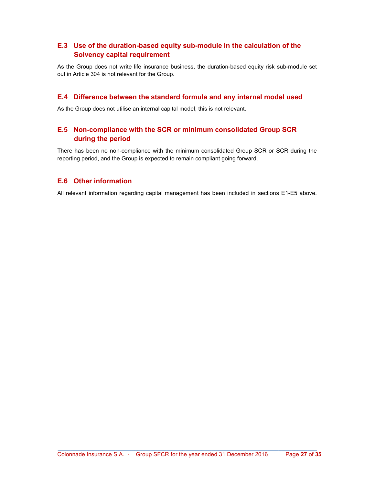## E.3 Use of the duration-based equity sub-module in the calculation of the Solvency capital requirement

As the Group does not write life insurance business, the duration-based equity risk sub-module set out in Article 304 is not relevant for the Group.

## E.4 Difference between the standard formula and any internal model used

As the Group does not utilise an internal capital model, this is not relevant.

## E.5 Non-compliance with the SCR or minimum consolidated Group SCR during the period

There has been no non-compliance with the minimum consolidated Group SCR or SCR during the reporting period, and the Group is expected to remain compliant going forward.

## E.6 Other information

All relevant information regarding capital management has been included in sections E1-E5 above.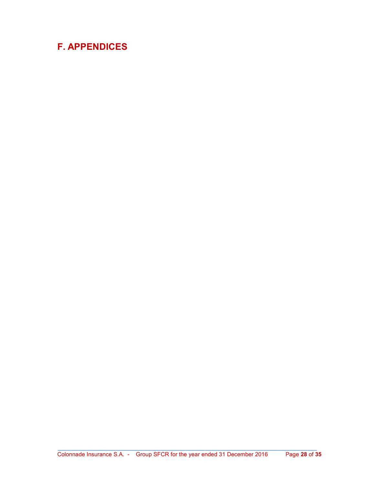# F. APPENDICES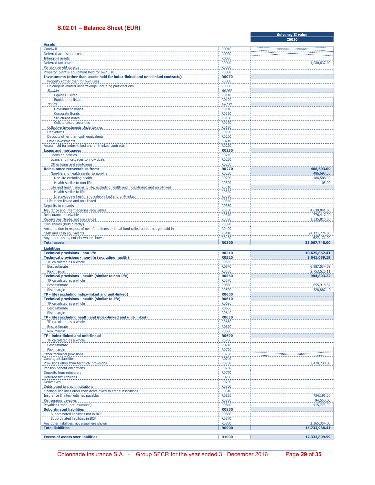#### S.02.01 – Balance Sheet (EUR)

|                                                                                                                      |                              | C0010                      |
|----------------------------------------------------------------------------------------------------------------------|------------------------------|----------------------------|
| <b>Assets</b><br>Goodwill                                                                                            | <b>R0010</b>                 |                            |
| Deferred acquisition costs                                                                                           | R0020                        |                            |
| Intangible assets                                                                                                    | R0030                        |                            |
| Deferred tax assets                                                                                                  | R0040                        | 1,080,837.00               |
| Pension benefit surplus                                                                                              | R0050                        |                            |
| Property, plant & equipment held for own use                                                                         | R0060                        |                            |
| Investments (other than assets held for index-linked and unit-linked contracts)                                      | <b>R0070</b>                 |                            |
| Property (other than for own use)                                                                                    | R0080                        |                            |
| Holdings in related undertakings, including participations                                                           | R0090                        |                            |
| Equities                                                                                                             | R0100<br>R0110               |                            |
| Equities - listed<br>Equities - unlisted                                                                             | R0120                        |                            |
| <b>Bonds</b>                                                                                                         | R0130                        |                            |
| <b>Government Bonds</b>                                                                                              | R0140                        |                            |
| Corporate Bonds                                                                                                      | R0150                        |                            |
| Structured notes                                                                                                     | R0160                        |                            |
| <b>Collateralised securities</b>                                                                                     | R0170                        |                            |
| <b>Collective Investments Undertakings</b>                                                                           | R0180                        |                            |
| <b>Derivatives</b>                                                                                                   | R0190                        |                            |
| Deposits other than cash equivalents                                                                                 | R0200                        |                            |
| Other investments<br>Assets held for index-linked and unit-linked contracts                                          | R0210<br>R0220               |                            |
| <b>Loans and mortgages</b>                                                                                           | <b>R0230</b>                 |                            |
| Loans on policies                                                                                                    | R0240                        |                            |
| Loans and mortgages to individuals                                                                                   | <b>R0250</b>                 |                            |
| Other loans and mortgages                                                                                            | R0260                        |                            |
| <b>Reinsurance recoverables from:</b>                                                                                | <b>R0270</b>                 | 486,693.00                 |
| Non-life and health similar to non-life                                                                              | R0280                        | 486,693.00                 |
| Non-life excluding health                                                                                            | R0290                        | 486,588.00                 |
| Health similar to non-life<br>Life and health similar to life, excluding health and index-linked and unit-linked     | R0300<br>R0310               | 105.00                     |
| Health similar to life                                                                                               | R0320                        |                            |
| Life excluding health and index-linked and unit-linked                                                               | R0330                        |                            |
| Life index-linked and unit-linked                                                                                    | R0340                        |                            |
| Deposits to cedants                                                                                                  | R0350                        |                            |
| Insurance and intermediaries receivables                                                                             | R0360                        | 4,639,041.00               |
| Reinsurance receivables                                                                                              | i R0370                      | 776,417.00                 |
| Receivables (trade, not insurance)                                                                                   | R0380                        | 1,335,815.00               |
| Own shares (held directly)<br>Amounts due in respect of own fund items or initial fund called up but not yet paid in | R0390<br>R0400               |                            |
| Cash and cash equivalents                                                                                            | R0410                        | 24,121,774.00              |
| Any other assets, not elsewhere shown                                                                                | R0420                        | 627,171.00                 |
|                                                                                                                      |                              |                            |
| <b>Total assets</b>                                                                                                  | <b>R0500</b>                 | 33,067,748.00              |
| <b>Liabilities</b>                                                                                                   |                              |                            |
| <b>Technical provisions - non-life</b>                                                                               | <b>R0510</b>                 | 10,625,862.41              |
| <b>Technical provisions - non-life (excluding health)</b>                                                            | <b>R0520</b>                 | 9,641,059.19               |
| TP calculated as a whole                                                                                             | R0530                        |                            |
| <b>Best estimate</b>                                                                                                 | R0540                        | 6,887,534.08               |
| Risk margin<br>Technical provisions - health (similar to non-life)                                                   | <b>R0550</b><br><b>R0560</b> | 2,753,525.11<br>984,803.22 |
| TP calculated as a whole                                                                                             | R0570                        |                            |
| <b>Best estimate</b>                                                                                                 | R0580                        | 655,915.82                 |
| <b>Risk margin</b>                                                                                                   | R0590                        | 328,887.40                 |
| TP - life (excluding index-linked and unit-linked)                                                                   | <b>R0600</b>                 |                            |
| Technical provisions - health (similar to life)                                                                      | <b>R0610</b>                 |                            |
| TP calculated as a whole                                                                                             | R0620                        |                            |
| <b>Best estimate</b>                                                                                                 | R0630                        |                            |
| Risk margin<br>TP - life (excluding health and index-linked and unit-linked)                                         | R0640<br><b>R0650</b>        |                            |
| TP calculated as a whole                                                                                             | R0660                        |                            |
| Best estimate                                                                                                        | R0670                        |                            |
| Risk margin                                                                                                          | R0680                        |                            |
| TP - index-linked and unit-linked                                                                                    | <b>R0690</b>                 |                            |
| TP calculated as a whole                                                                                             | R0700<br>R0710               |                            |
| <b>Best estimate</b><br>Risk margin                                                                                  | R0720                        |                            |
| Other technical provisions                                                                                           | R0730                        |                            |
| <b>Contingent liabilities</b>                                                                                        | R0740                        |                            |
| Provisions other than technical provisions                                                                           | R0750                        | 1,478,208.00               |
| Pension benefit obligations                                                                                          | R0760                        |                            |
| Deposits from reinsurers                                                                                             | R0770                        |                            |
| Deferred tax liabilities<br><b>Derivatives</b>                                                                       | R0780<br>R0790               |                            |
| Debts owed to credit institutions                                                                                    | R0800                        |                            |
| Financial liabilities other than debts owed to credit institutions                                                   | R0810                        |                            |
| Insurance & intermediaries payables                                                                                  | R0820                        | 754,191.00                 |
| Reinsurance payables                                                                                                 | R0830                        | 94,550.00                  |
| Payables (trade, not insurance)                                                                                      | R0840                        | 415,773.00                 |
| <b>Subordinated liabilities</b>                                                                                      | <b>R0850</b>                 |                            |
| Subordinated liabilities not in BOF<br>Subordinated liabilities in BOF                                               | R0860<br>R0870               |                            |
| Any other liabilities, not elsewhere shown                                                                           | R0880                        | 2,365,354.00               |
| <b>Total liabilities</b>                                                                                             | <b>R0900</b>                 | 15,733,938.41              |
| <b>Excess of assets over liabilities</b>                                                                             | R1000                        | 17,333,809.59              |

\_\_\_\_\_\_\_\_\_\_\_\_\_\_\_\_\_\_\_\_\_\_\_\_\_\_\_\_\_\_\_\_\_\_\_\_\_\_\_\_\_\_\_\_\_\_\_\_\_\_\_\_\_\_\_\_\_\_\_\_\_\_\_\_\_\_\_\_\_\_\_\_\_\_\_\_\_\_\_\_\_ Colonnade Insurance S.A. - Group SFCR for the year ended 31 December 2016 Page 29 of 35

Solvency II value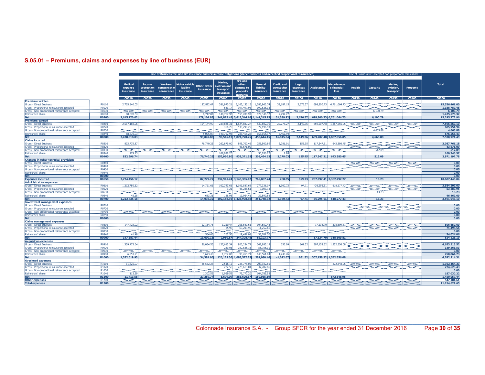## S.05.01 – Premiums, claims and expenses by line of business (EUR)

|                                                                                            |                   | Line of Business for: non-life insurance and reinsurance obligations (direct business and accepted proportional reinsurance)<br>Line of Business for: accepted non-proportional reinsurance |                                   |                                               |                                         |                          |                                                   |                                                               |                                          |                                              |                                |                                |                                            |               |          |                                   |          |                          |
|--------------------------------------------------------------------------------------------|-------------------|---------------------------------------------------------------------------------------------------------------------------------------------------------------------------------------------|-----------------------------------|-----------------------------------------------|-----------------------------------------|--------------------------|---------------------------------------------------|---------------------------------------------------------------|------------------------------------------|----------------------------------------------|--------------------------------|--------------------------------|--------------------------------------------|---------------|----------|-----------------------------------|----------|--------------------------|
|                                                                                            |                   | <b>Medical</b><br>expense<br>insurance                                                                                                                                                      | Income<br>protection<br>insurance | <b>Workers'</b><br>compensatio<br>n insurance | Motor vehicle<br>liability<br>insurance | Other motor<br>insurance | Marine.<br>aviation and<br>transport<br>insurance | <b>Fire and</b><br>other<br>damage to<br>property<br>nsurance | General<br>liability<br><i>insurance</i> | <b>Credit and</b><br>suretyship<br>insurance | Legal<br>expenses<br>insurance | <b>Assistance</b>              | <b>Miscellaneou</b><br>s financial<br>loss | <b>Health</b> | Casualty | Marine.<br>aviation,<br>transport | Property | <b>Total</b>             |
|                                                                                            |                   | C0010                                                                                                                                                                                       | C0020                             | C0030                                         | C0040                                   | <b>COO50</b>             | C0060                                             | C0070                                                         | <b>COO80</b>                             | C0090                                        | C0100                          | C0110                          | C0120                                      | C0130         | C0140    | C0150                             | C0160    | C0200                    |
| <b>Premiums written</b>                                                                    |                   |                                                                                                                                                                                             |                                   |                                               |                                         |                          |                                                   |                                                               |                                          |                                              |                                |                                |                                            |               |          |                                   |          |                          |
| <b>Gross - Direct Business</b>                                                             | R0110             | 2,703,840.05                                                                                                                                                                                |                                   |                                               |                                         | 187,822.67               | 381,970.21                                        | 3,165,135.15                                                  | 1,585,963.74                             | 39,187.15                                    | 2,676.57                       | 698,800.73                     | 6,761,064.73                               |               |          |                                   |          | 15,526,461.00            |
| Gross - Proportional reinsurance accepted<br>Gross - Non-proportional reinsurance accepted | R0120<br>R0130    |                                                                                                                                                                                             |                                   |                                               |                                         |                          | 663.17                                            | 997,497.98                                                    | 190,628.33                               |                                              |                                |                                |                                            |               | 6,100.79 |                                   |          | 1,188,789.48<br>6,100.7  |
| Reinsurers' share                                                                          | R0140             | 88,670.04                                                                                                                                                                                   |                                   |                                               |                                         | 8.717.84                 | 140.757.93                                        | 550,288,97                                                    | 629, 346, 32                             | 7.797.22                                     |                                |                                |                                            |               |          |                                   |          | 1,425,578.3              |
| <b>Net</b>                                                                                 | <b>R0200</b>      | 2,615,170.02                                                                                                                                                                                |                                   |                                               |                                         | 179,104.83               |                                                   | 241,875.45 3,612,344.16 1,147,245.75                          |                                          | 31,389.92                                    | 2,676.57                       |                                | 698,800.73 6,761,064.73                    |               | 6,100.79 |                                   |          | 15,295,772.9             |
| <b>Premiums earned</b>                                                                     |                   |                                                                                                                                                                                             |                                   |                                               |                                         |                          |                                                   |                                                               |                                          |                                              |                                |                                |                                            |               |          |                                   |          |                          |
| <b>Gross - Direct Business</b>                                                             | R0210             | 2.517.188.06                                                                                                                                                                                |                                   |                                               |                                         | 104,144,90               | 239,846,31                                        | 1.624.887.27                                                  | 539,602.39                               | 22,278,27                                    | 2.149.36                       |                                | 659.207.48 1.887.556.05                    |               |          |                                   |          | 7.596.860.1              |
| Gross - Proportional reinsurance accepted                                                  | R0220             |                                                                                                                                                                                             |                                   |                                               |                                         |                          | 456.75                                            | 533,298.25                                                    | 72,196.93                                |                                              |                                |                                |                                            |               |          |                                   |          | 605.951.94               |
| Gross - Non-proportional reinsurance accepted                                              | R0230             |                                                                                                                                                                                             |                                   |                                               |                                         |                          |                                                   |                                                               |                                          |                                              |                                |                                |                                            |               | 4,665.88 |                                   |          | 4.665.8                  |
| Reinsurers' share                                                                          | R0240             | 88,670.03                                                                                                                                                                                   |                                   |                                               |                                         | 5,095.07                 | 140,757.93                                        | 283,415,28                                                    | 153, 155.17                              | 5,462.94                                     |                                |                                |                                            |               |          |                                   |          | 676,556.43               |
| <b>Net</b>                                                                                 | <b>R0300</b>      | 2.428.518.03                                                                                                                                                                                |                                   |                                               |                                         | 99.049.83                |                                                   | 99.545.13 1.874.770.25                                        | 458.644.15                               | 16.815.34                                    | 2,149.36                       |                                | 659.207.48 1.887.556.05                    |               | 4.665.88 |                                   |          | 7.530.921.4              |
| <b>Claims incurred</b>                                                                     |                   |                                                                                                                                                                                             |                                   |                                               |                                         |                          |                                                   |                                                               |                                          |                                              |                                |                                |                                            |               |          |                                   |          |                          |
| <b>Gross - Direct Business</b>                                                             | R0310             | 833,775.87                                                                                                                                                                                  |                                   |                                               |                                         | 76,740.25                | 262,879.00                                        | 895,700.46                                                    | 255,500.89                               | 2,281.01                                     | 155.95                         | 117,347.31                     | 643,380.45                                 |               |          |                                   |          | 3,087,761.18             |
| Gross - Proportional reinsurance accepted                                                  | R0320             |                                                                                                                                                                                             |                                   |                                               |                                         |                          |                                                   | 43.671.09                                                     |                                          |                                              |                                |                                |                                            |               |          |                                   |          | 43,671.09                |
| Gross - Non-proportional reinsurance accepted                                              | R0330<br>R0340    | 779.13                                                                                                                                                                                      |                                   |                                               |                                         |                          | 109,928.2                                         |                                                               | 50,036.2                                 | 2.98                                         |                                |                                |                                            |               | 512.09   |                                   |          | 512.09<br>160,746.57     |
| Reinsurers' share<br><b>Net</b>                                                            | <b>R0400</b>      | 832,996.74                                                                                                                                                                                  |                                   |                                               |                                         |                          |                                                   | 76,740.25 152,950.80 939,371.55                               | 205,464.62                               | 2,278.03                                     |                                |                                | 155.95 117,347.31 643,380.45               |               | 512.09   |                                   |          | 2,971,197.7              |
| Changes in other technical provisions                                                      |                   |                                                                                                                                                                                             |                                   |                                               |                                         |                          |                                                   |                                                               |                                          |                                              |                                |                                |                                            |               |          |                                   |          |                          |
| <b>Gross - Direct Business</b>                                                             | R0410             |                                                                                                                                                                                             |                                   |                                               |                                         |                          |                                                   |                                                               |                                          |                                              |                                |                                |                                            |               |          |                                   |          | 0.00                     |
| Gross - Proportional reinsurance accepted                                                  | R0420             |                                                                                                                                                                                             |                                   |                                               |                                         |                          |                                                   |                                                               |                                          |                                              |                                |                                |                                            |               |          |                                   |          | 0.00                     |
| Gross - Non-proportional reinsurance accepted                                              | R0430             |                                                                                                                                                                                             |                                   |                                               |                                         |                          |                                                   |                                                               |                                          |                                              |                                |                                |                                            |               |          |                                   |          | 0.00                     |
| Reinsurers' share                                                                          | R0440             |                                                                                                                                                                                             |                                   |                                               |                                         |                          |                                                   |                                                               |                                          |                                              |                                |                                |                                            |               |          |                                   |          | 0.00                     |
| <b>Net</b>                                                                                 | <b>R0500</b>      |                                                                                                                                                                                             |                                   |                                               |                                         |                          |                                                   |                                                               |                                          |                                              |                                |                                |                                            |               |          |                                   |          | 0.00                     |
| <b>Expenses incurred</b>                                                                   | <b>R0550</b>      | 2,724,456.12                                                                                                                                                                                |                                   |                                               |                                         | 87.279.27                |                                                   | 232,941.24 3,145,365.47                                       | 765,867.74                               | 268.05                                       | 959.23                         |                                | 287,997.41 3,362,292.27                    |               | 13.23    |                                   |          | 10,607,440.04            |
| <b>Administrative expenses</b>                                                             |                   |                                                                                                                                                                                             |                                   |                                               |                                         |                          |                                                   |                                                               |                                          |                                              |                                |                                |                                            |               |          |                                   |          |                          |
| <b>Gross - Direct Business</b>                                                             | R0610             | 1,212,780.32                                                                                                                                                                                |                                   |                                               |                                         | 14,721.63                | 102.343.65                                        | 1,393,587.68                                                  | 277,336.07                               | 1,360.73                                     | 97.71                          | $-36,295.61$                   | 618,277.43                                 |               |          |                                   |          | 3,584,209.6              |
| Gross - Proportional reinsurance accepted                                                  | R0620             |                                                                                                                                                                                             |                                   |                                               |                                         |                          | 1.21                                              | 46,285.6                                                      | 7,003.13                                 |                                              |                                |                                |                                            |               |          |                                   |          | 53,289.9                 |
| Gross - Non-proportional reinsurance accepted                                              | R0630             |                                                                                                                                                                                             |                                   |                                               |                                         |                          |                                                   |                                                               |                                          |                                              |                                |                                |                                            |               | 13.23    |                                   |          | 13.23                    |
| Reinsurers' share                                                                          | R0640             | 45.15                                                                                                                                                                                       |                                   |                                               |                                         | 683.31                   | 185.93                                            | 12,964.41                                                     | 32,590.8                                 |                                              |                                |                                |                                            |               |          |                                   |          | 46,469.69                |
| <b>Net</b>                                                                                 | <b>R0700</b>      | 1.212.735.18                                                                                                                                                                                |                                   |                                               |                                         | 14.038.32                |                                                   | 102.158.92 1.426.908.88                                       | 251,748.32                               | 1.360.73                                     | 97.71                          |                                | $-36.295.61$ 618.277.43                    |               | 13.23    |                                   |          | 3.591.043.1              |
| <b>Investment management expenses</b>                                                      |                   |                                                                                                                                                                                             |                                   |                                               |                                         |                          |                                                   |                                                               |                                          |                                              |                                |                                |                                            |               |          |                                   |          |                          |
| <b>Gross - Direct Business</b>                                                             | R0710             |                                                                                                                                                                                             |                                   |                                               |                                         |                          |                                                   |                                                               |                                          |                                              |                                |                                |                                            |               |          |                                   |          | 0.00                     |
| Gross - Proportional reinsurance accepted                                                  | R0720<br>R0730    |                                                                                                                                                                                             |                                   |                                               |                                         |                          |                                                   |                                                               |                                          |                                              |                                |                                |                                            |               |          |                                   |          | 0.00<br>0.00             |
| Gross - Non-proportional reinsurance accepted<br>Reinsurers' share                         | R0740             |                                                                                                                                                                                             |                                   |                                               |                                         |                          |                                                   |                                                               |                                          |                                              |                                |                                |                                            |               |          |                                   |          | 0.00                     |
| Net                                                                                        | <b>R0800</b>      |                                                                                                                                                                                             |                                   |                                               |                                         |                          |                                                   |                                                               |                                          |                                              |                                |                                |                                            |               |          |                                   |          | 0.00                     |
| <b>Claims management expenses</b>                                                          |                   |                                                                                                                                                                                             |                                   |                                               |                                         |                          |                                                   |                                                               |                                          |                                              |                                |                                |                                            |               |          |                                   |          |                          |
| <b>Gross - Direct Business</b>                                                             | R0810             | 147,428.92                                                                                                                                                                                  |                                   |                                               |                                         | 12,164.76                | 3.210.47                                          | 203,549.61                                                    | 104,552.42                               |                                              |                                | 17,134.70                      | 318,609.81                                 |               |          |                                   |          | 806,650.69               |
| Gross - Proportional reinsurance accepted                                                  | R0820             |                                                                                                                                                                                             |                                   |                                               |                                         |                          | 35.96                                             | 60,209.95                                                     | 11,252.66                                |                                              |                                |                                |                                            |               |          |                                   |          | 71,498.5                 |
| Gross - Non-proportional reinsurance accepted                                              | R0830             |                                                                                                                                                                                             |                                   |                                               |                                         |                          |                                                   |                                                               |                                          |                                              |                                |                                |                                            |               |          |                                   |          | 0.00                     |
| Reinsurers' share                                                                          | R0840             | 41.49                                                                                                                                                                                       |                                   |                                               |                                         | 564.63                   | 265.56                                            | 19,451.0                                                      | 33,701.30                                |                                              |                                |                                |                                            |               |          |                                   |          | 54.024.06                |
| <b>Net</b>                                                                                 | <b>R0900</b>      | 147.387.44                                                                                                                                                                                  |                                   |                                               |                                         | 11.600.13                | 2.980.87                                          | 244,308,48                                                    | 82.103.77                                |                                              |                                |                                | 17.134.70 318.609.81                       |               |          |                                   |          | 824.125.1                |
| <b>Acquisition expenses</b>                                                                |                   |                                                                                                                                                                                             |                                   |                                               |                                         |                          |                                                   |                                                               |                                          |                                              |                                |                                |                                            |               |          |                                   |          |                          |
| <b>Gross - Direct Business</b>                                                             | R0910             | 1,359,473.64                                                                                                                                                                                |                                   |                                               |                                         | 36.054.55                | 127.615.34                                        | 906.254.7                                                     | 362.885.19                               | 656.09                                       | 861.52                         | 307.158.32                     | 1,552,556.08                               |               |          |                                   |          | 4,653,515.5              |
| Gross - Proportional reinsurance accepted                                                  | R0920             |                                                                                                                                                                                             |                                   |                                               |                                         |                          | 269.05                                            | 280.538.16                                                    | 58,756.31                                |                                              |                                |                                |                                            |               |          |                                   |          | 339,563.5                |
| Gross - Non-proportional reinsurance accepted                                              | R0930             |                                                                                                                                                                                             |                                   |                                               |                                         |                          |                                                   |                                                               |                                          |                                              |                                |                                |                                            |               |          |                                   |          | 0.00                     |
| Reinsurers' share                                                                          | R0940             | 6.853.71                                                                                                                                                                                    |                                   |                                               |                                         | 1.673.48                 | 1.762.03                                          | 98,265,71                                                     | 140,561.04                               | 1.748.7                                      |                                |                                |                                            |               |          |                                   |          | 250,864.7                |
| <b>Net</b>                                                                                 | R1000             | 1.352.619.93                                                                                                                                                                                |                                   |                                               |                                         | 34,381.06                |                                                   | 126.122.36 1.088.527.25                                       | 281.080.46                               | $-1.092.67$                                  |                                | 861.52 307.158.32 1.552.556.08 |                                            |               |          |                                   |          | 4.742.214.3              |
| <b>Overhead expenses</b>                                                                   |                   |                                                                                                                                                                                             |                                   |                                               |                                         |                          |                                                   |                                                               |                                          |                                              |                                |                                |                                            |               |          |                                   |          |                          |
| <b>Gross - Direct Business</b>                                                             | R1010             | 11,825.97                                                                                                                                                                                   |                                   |                                               |                                         | 28,562.28                | 2,516.12                                          | 238,778.05                                                    | 207,932.85                               |                                              |                                |                                | 872,848.95                                 |               |          |                                   |          | 1,362,464.2<br>274,623.4 |
| Gross - Proportional reinsurance accepted                                                  | R1020             |                                                                                                                                                                                             |                                   |                                               |                                         |                          | 222.56                                            | 226,613.01                                                    | 47,787.86                                |                                              |                                |                                |                                            |               |          |                                   |          |                          |
| Gross - Non-proportional reinsurance accepted                                              | R1030<br>R1040    | 112.39                                                                                                                                                                                      |                                   |                                               |                                         | 1.302.52                 | 1.059.59                                          | 79,770,20                                                     | 104,785.52                               |                                              |                                |                                |                                            |               |          |                                   |          | 0.00<br>187,030.22       |
| Reinsurers' share<br><b>Net</b>                                                            | R1100             | 11,713.58                                                                                                                                                                                   |                                   |                                               |                                         | 27.259.77                | 1,679.09                                          | 385,620.87                                                    | 150,935.19                               |                                              |                                |                                | 872,848.95                                 |               |          |                                   |          | 1,450,057.44             |
| <b>Other expenses</b>                                                                      | R1200             |                                                                                                                                                                                             |                                   |                                               |                                         |                          |                                                   |                                                               |                                          |                                              |                                |                                |                                            |               |          |                                   |          | 547,181.6                |
| <b>Total expenses</b>                                                                      | R <sub>1300</sub> |                                                                                                                                                                                             |                                   |                                               |                                         |                          |                                                   |                                                               |                                          |                                              |                                |                                |                                            |               |          |                                   |          | 11.154.621.65            |
|                                                                                            |                   |                                                                                                                                                                                             |                                   |                                               |                                         |                          |                                                   |                                                               |                                          |                                              |                                |                                |                                            |               |          |                                   |          |                          |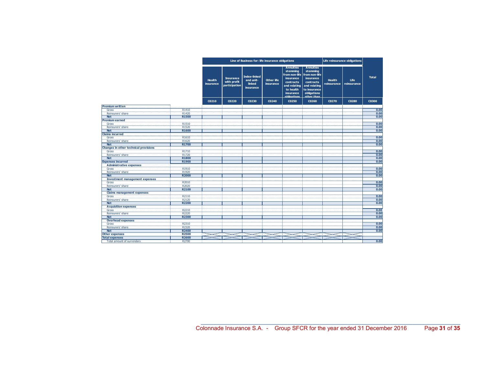| <b>Annuities</b><br><b>Annuities</b><br>stemming<br>stemming<br>from non-life<br>from non-life<br><b>Index-linked</b><br><b>Total</b><br><b>Insurance</b><br>insurance<br>insurance<br>and unit-<br><b>Other life</b><br><b>Health</b><br><b>Health</b><br><b>Life</b><br>with profit<br>contracts<br>contracts<br>linked<br>insurance<br>insurance<br>reinsurance<br>reinsurance<br>participation<br>and relating<br>and relating<br><b>insurance</b><br>to health<br>to insurance<br>obligations<br>insurance<br>other than<br>obligations<br>C0230<br>C0300<br>C0210<br>C0220<br>C0240<br>C0250<br>C0260<br>C0270<br>C0280<br>R1410<br>0.00<br>Gross<br>Reinsurers' share<br>R1420<br>0.00<br>0.00<br>R1500<br><b>Net</b><br>0.00<br>R1510<br>Gross<br>Reinsurers' share<br>R1520<br>0.00<br>0.00<br>R1600<br><b>Net</b><br>0.00<br>R1610<br>Gross<br>Reinsurers' share<br>R1620<br>0.00<br>0.00<br>R1700<br><b>Net</b><br><b>Changes in other technical provisions</b><br>0.00<br>R1710<br>Gross<br>Reinsurers' share<br>R1720<br>0.00<br>0.00<br><b>Net</b><br><b>R1800</b><br>R1900<br>0.00<br><b>Expenses incurred</b><br><b>Administrative expenses</b><br>R1910<br>0.00<br>Gross<br>0.00<br>Reinsurers' share<br>R1920<br>0.00<br><b>R2000</b><br><b>Net</b><br><b>Investment management expenses</b><br>R2010<br>0.00<br>Gross<br>0.00<br>Reinsurers' share<br>R2020<br>R2100<br>0.00<br><b>Net</b><br><b>Claims management expenses</b><br>0.00<br>R2110<br>Gross<br>Reinsurers' share<br>R2120<br>0.00<br>0.00<br><b>R2200</b><br><b>Net</b><br><b>Acquisition expenses</b><br>R2210<br>0.00<br>Gross<br>Reinsurers' share<br>R2220<br>0.00<br>R2300<br>0.00<br><b>Net</b><br><b>Overhead expenses</b><br>0.00<br>R2310<br>Gross<br>R2320<br>0.00<br>Reinsurers' share<br>0.00<br>R2400<br><b>Net</b><br>R2500<br><b>Other expenses</b><br><b>Total expenses</b><br>R2600 |                        | Line of Business for: life insurance obligations |  |  |  |  |  |  | Life reinsurance obligations |  |  |
|---------------------------------------------------------------------------------------------------------------------------------------------------------------------------------------------------------------------------------------------------------------------------------------------------------------------------------------------------------------------------------------------------------------------------------------------------------------------------------------------------------------------------------------------------------------------------------------------------------------------------------------------------------------------------------------------------------------------------------------------------------------------------------------------------------------------------------------------------------------------------------------------------------------------------------------------------------------------------------------------------------------------------------------------------------------------------------------------------------------------------------------------------------------------------------------------------------------------------------------------------------------------------------------------------------------------------------------------------------------------------------------------------------------------------------------------------------------------------------------------------------------------------------------------------------------------------------------------------------------------------------------------------------------------------------------------------------------------------------------------------------------------------------------------------------------------------------------------------------------------------------------|------------------------|--------------------------------------------------|--|--|--|--|--|--|------------------------------|--|--|
|                                                                                                                                                                                                                                                                                                                                                                                                                                                                                                                                                                                                                                                                                                                                                                                                                                                                                                                                                                                                                                                                                                                                                                                                                                                                                                                                                                                                                                                                                                                                                                                                                                                                                                                                                                                                                                                                                       |                        |                                                  |  |  |  |  |  |  |                              |  |  |
|                                                                                                                                                                                                                                                                                                                                                                                                                                                                                                                                                                                                                                                                                                                                                                                                                                                                                                                                                                                                                                                                                                                                                                                                                                                                                                                                                                                                                                                                                                                                                                                                                                                                                                                                                                                                                                                                                       |                        |                                                  |  |  |  |  |  |  |                              |  |  |
|                                                                                                                                                                                                                                                                                                                                                                                                                                                                                                                                                                                                                                                                                                                                                                                                                                                                                                                                                                                                                                                                                                                                                                                                                                                                                                                                                                                                                                                                                                                                                                                                                                                                                                                                                                                                                                                                                       | <b>Premium written</b> |                                                  |  |  |  |  |  |  |                              |  |  |
|                                                                                                                                                                                                                                                                                                                                                                                                                                                                                                                                                                                                                                                                                                                                                                                                                                                                                                                                                                                                                                                                                                                                                                                                                                                                                                                                                                                                                                                                                                                                                                                                                                                                                                                                                                                                                                                                                       |                        |                                                  |  |  |  |  |  |  |                              |  |  |
|                                                                                                                                                                                                                                                                                                                                                                                                                                                                                                                                                                                                                                                                                                                                                                                                                                                                                                                                                                                                                                                                                                                                                                                                                                                                                                                                                                                                                                                                                                                                                                                                                                                                                                                                                                                                                                                                                       |                        |                                                  |  |  |  |  |  |  |                              |  |  |
|                                                                                                                                                                                                                                                                                                                                                                                                                                                                                                                                                                                                                                                                                                                                                                                                                                                                                                                                                                                                                                                                                                                                                                                                                                                                                                                                                                                                                                                                                                                                                                                                                                                                                                                                                                                                                                                                                       |                        |                                                  |  |  |  |  |  |  |                              |  |  |
|                                                                                                                                                                                                                                                                                                                                                                                                                                                                                                                                                                                                                                                                                                                                                                                                                                                                                                                                                                                                                                                                                                                                                                                                                                                                                                                                                                                                                                                                                                                                                                                                                                                                                                                                                                                                                                                                                       | <b>Premium earned</b>  |                                                  |  |  |  |  |  |  |                              |  |  |
|                                                                                                                                                                                                                                                                                                                                                                                                                                                                                                                                                                                                                                                                                                                                                                                                                                                                                                                                                                                                                                                                                                                                                                                                                                                                                                                                                                                                                                                                                                                                                                                                                                                                                                                                                                                                                                                                                       |                        |                                                  |  |  |  |  |  |  |                              |  |  |
|                                                                                                                                                                                                                                                                                                                                                                                                                                                                                                                                                                                                                                                                                                                                                                                                                                                                                                                                                                                                                                                                                                                                                                                                                                                                                                                                                                                                                                                                                                                                                                                                                                                                                                                                                                                                                                                                                       |                        |                                                  |  |  |  |  |  |  |                              |  |  |
|                                                                                                                                                                                                                                                                                                                                                                                                                                                                                                                                                                                                                                                                                                                                                                                                                                                                                                                                                                                                                                                                                                                                                                                                                                                                                                                                                                                                                                                                                                                                                                                                                                                                                                                                                                                                                                                                                       |                        |                                                  |  |  |  |  |  |  |                              |  |  |
|                                                                                                                                                                                                                                                                                                                                                                                                                                                                                                                                                                                                                                                                                                                                                                                                                                                                                                                                                                                                                                                                                                                                                                                                                                                                                                                                                                                                                                                                                                                                                                                                                                                                                                                                                                                                                                                                                       | <b>Claims incurred</b> |                                                  |  |  |  |  |  |  |                              |  |  |
|                                                                                                                                                                                                                                                                                                                                                                                                                                                                                                                                                                                                                                                                                                                                                                                                                                                                                                                                                                                                                                                                                                                                                                                                                                                                                                                                                                                                                                                                                                                                                                                                                                                                                                                                                                                                                                                                                       |                        |                                                  |  |  |  |  |  |  |                              |  |  |
|                                                                                                                                                                                                                                                                                                                                                                                                                                                                                                                                                                                                                                                                                                                                                                                                                                                                                                                                                                                                                                                                                                                                                                                                                                                                                                                                                                                                                                                                                                                                                                                                                                                                                                                                                                                                                                                                                       |                        |                                                  |  |  |  |  |  |  |                              |  |  |
|                                                                                                                                                                                                                                                                                                                                                                                                                                                                                                                                                                                                                                                                                                                                                                                                                                                                                                                                                                                                                                                                                                                                                                                                                                                                                                                                                                                                                                                                                                                                                                                                                                                                                                                                                                                                                                                                                       |                        |                                                  |  |  |  |  |  |  |                              |  |  |
|                                                                                                                                                                                                                                                                                                                                                                                                                                                                                                                                                                                                                                                                                                                                                                                                                                                                                                                                                                                                                                                                                                                                                                                                                                                                                                                                                                                                                                                                                                                                                                                                                                                                                                                                                                                                                                                                                       |                        |                                                  |  |  |  |  |  |  |                              |  |  |
|                                                                                                                                                                                                                                                                                                                                                                                                                                                                                                                                                                                                                                                                                                                                                                                                                                                                                                                                                                                                                                                                                                                                                                                                                                                                                                                                                                                                                                                                                                                                                                                                                                                                                                                                                                                                                                                                                       |                        |                                                  |  |  |  |  |  |  |                              |  |  |
|                                                                                                                                                                                                                                                                                                                                                                                                                                                                                                                                                                                                                                                                                                                                                                                                                                                                                                                                                                                                                                                                                                                                                                                                                                                                                                                                                                                                                                                                                                                                                                                                                                                                                                                                                                                                                                                                                       |                        |                                                  |  |  |  |  |  |  |                              |  |  |
|                                                                                                                                                                                                                                                                                                                                                                                                                                                                                                                                                                                                                                                                                                                                                                                                                                                                                                                                                                                                                                                                                                                                                                                                                                                                                                                                                                                                                                                                                                                                                                                                                                                                                                                                                                                                                                                                                       |                        |                                                  |  |  |  |  |  |  |                              |  |  |
|                                                                                                                                                                                                                                                                                                                                                                                                                                                                                                                                                                                                                                                                                                                                                                                                                                                                                                                                                                                                                                                                                                                                                                                                                                                                                                                                                                                                                                                                                                                                                                                                                                                                                                                                                                                                                                                                                       |                        |                                                  |  |  |  |  |  |  |                              |  |  |
|                                                                                                                                                                                                                                                                                                                                                                                                                                                                                                                                                                                                                                                                                                                                                                                                                                                                                                                                                                                                                                                                                                                                                                                                                                                                                                                                                                                                                                                                                                                                                                                                                                                                                                                                                                                                                                                                                       |                        |                                                  |  |  |  |  |  |  |                              |  |  |
|                                                                                                                                                                                                                                                                                                                                                                                                                                                                                                                                                                                                                                                                                                                                                                                                                                                                                                                                                                                                                                                                                                                                                                                                                                                                                                                                                                                                                                                                                                                                                                                                                                                                                                                                                                                                                                                                                       |                        |                                                  |  |  |  |  |  |  |                              |  |  |
|                                                                                                                                                                                                                                                                                                                                                                                                                                                                                                                                                                                                                                                                                                                                                                                                                                                                                                                                                                                                                                                                                                                                                                                                                                                                                                                                                                                                                                                                                                                                                                                                                                                                                                                                                                                                                                                                                       |                        |                                                  |  |  |  |  |  |  |                              |  |  |
|                                                                                                                                                                                                                                                                                                                                                                                                                                                                                                                                                                                                                                                                                                                                                                                                                                                                                                                                                                                                                                                                                                                                                                                                                                                                                                                                                                                                                                                                                                                                                                                                                                                                                                                                                                                                                                                                                       |                        |                                                  |  |  |  |  |  |  |                              |  |  |
|                                                                                                                                                                                                                                                                                                                                                                                                                                                                                                                                                                                                                                                                                                                                                                                                                                                                                                                                                                                                                                                                                                                                                                                                                                                                                                                                                                                                                                                                                                                                                                                                                                                                                                                                                                                                                                                                                       |                        |                                                  |  |  |  |  |  |  |                              |  |  |
|                                                                                                                                                                                                                                                                                                                                                                                                                                                                                                                                                                                                                                                                                                                                                                                                                                                                                                                                                                                                                                                                                                                                                                                                                                                                                                                                                                                                                                                                                                                                                                                                                                                                                                                                                                                                                                                                                       |                        |                                                  |  |  |  |  |  |  |                              |  |  |
|                                                                                                                                                                                                                                                                                                                                                                                                                                                                                                                                                                                                                                                                                                                                                                                                                                                                                                                                                                                                                                                                                                                                                                                                                                                                                                                                                                                                                                                                                                                                                                                                                                                                                                                                                                                                                                                                                       |                        |                                                  |  |  |  |  |  |  |                              |  |  |
|                                                                                                                                                                                                                                                                                                                                                                                                                                                                                                                                                                                                                                                                                                                                                                                                                                                                                                                                                                                                                                                                                                                                                                                                                                                                                                                                                                                                                                                                                                                                                                                                                                                                                                                                                                                                                                                                                       |                        |                                                  |  |  |  |  |  |  |                              |  |  |
|                                                                                                                                                                                                                                                                                                                                                                                                                                                                                                                                                                                                                                                                                                                                                                                                                                                                                                                                                                                                                                                                                                                                                                                                                                                                                                                                                                                                                                                                                                                                                                                                                                                                                                                                                                                                                                                                                       |                        |                                                  |  |  |  |  |  |  |                              |  |  |
|                                                                                                                                                                                                                                                                                                                                                                                                                                                                                                                                                                                                                                                                                                                                                                                                                                                                                                                                                                                                                                                                                                                                                                                                                                                                                                                                                                                                                                                                                                                                                                                                                                                                                                                                                                                                                                                                                       |                        |                                                  |  |  |  |  |  |  |                              |  |  |
|                                                                                                                                                                                                                                                                                                                                                                                                                                                                                                                                                                                                                                                                                                                                                                                                                                                                                                                                                                                                                                                                                                                                                                                                                                                                                                                                                                                                                                                                                                                                                                                                                                                                                                                                                                                                                                                                                       |                        |                                                  |  |  |  |  |  |  |                              |  |  |
|                                                                                                                                                                                                                                                                                                                                                                                                                                                                                                                                                                                                                                                                                                                                                                                                                                                                                                                                                                                                                                                                                                                                                                                                                                                                                                                                                                                                                                                                                                                                                                                                                                                                                                                                                                                                                                                                                       |                        |                                                  |  |  |  |  |  |  |                              |  |  |
|                                                                                                                                                                                                                                                                                                                                                                                                                                                                                                                                                                                                                                                                                                                                                                                                                                                                                                                                                                                                                                                                                                                                                                                                                                                                                                                                                                                                                                                                                                                                                                                                                                                                                                                                                                                                                                                                                       |                        |                                                  |  |  |  |  |  |  |                              |  |  |
|                                                                                                                                                                                                                                                                                                                                                                                                                                                                                                                                                                                                                                                                                                                                                                                                                                                                                                                                                                                                                                                                                                                                                                                                                                                                                                                                                                                                                                                                                                                                                                                                                                                                                                                                                                                                                                                                                       |                        |                                                  |  |  |  |  |  |  |                              |  |  |
|                                                                                                                                                                                                                                                                                                                                                                                                                                                                                                                                                                                                                                                                                                                                                                                                                                                                                                                                                                                                                                                                                                                                                                                                                                                                                                                                                                                                                                                                                                                                                                                                                                                                                                                                                                                                                                                                                       |                        |                                                  |  |  |  |  |  |  |                              |  |  |
|                                                                                                                                                                                                                                                                                                                                                                                                                                                                                                                                                                                                                                                                                                                                                                                                                                                                                                                                                                                                                                                                                                                                                                                                                                                                                                                                                                                                                                                                                                                                                                                                                                                                                                                                                                                                                                                                                       |                        |                                                  |  |  |  |  |  |  |                              |  |  |
|                                                                                                                                                                                                                                                                                                                                                                                                                                                                                                                                                                                                                                                                                                                                                                                                                                                                                                                                                                                                                                                                                                                                                                                                                                                                                                                                                                                                                                                                                                                                                                                                                                                                                                                                                                                                                                                                                       |                        |                                                  |  |  |  |  |  |  |                              |  |  |
|                                                                                                                                                                                                                                                                                                                                                                                                                                                                                                                                                                                                                                                                                                                                                                                                                                                                                                                                                                                                                                                                                                                                                                                                                                                                                                                                                                                                                                                                                                                                                                                                                                                                                                                                                                                                                                                                                       |                        |                                                  |  |  |  |  |  |  |                              |  |  |
|                                                                                                                                                                                                                                                                                                                                                                                                                                                                                                                                                                                                                                                                                                                                                                                                                                                                                                                                                                                                                                                                                                                                                                                                                                                                                                                                                                                                                                                                                                                                                                                                                                                                                                                                                                                                                                                                                       |                        |                                                  |  |  |  |  |  |  |                              |  |  |
|                                                                                                                                                                                                                                                                                                                                                                                                                                                                                                                                                                                                                                                                                                                                                                                                                                                                                                                                                                                                                                                                                                                                                                                                                                                                                                                                                                                                                                                                                                                                                                                                                                                                                                                                                                                                                                                                                       |                        |                                                  |  |  |  |  |  |  |                              |  |  |
|                                                                                                                                                                                                                                                                                                                                                                                                                                                                                                                                                                                                                                                                                                                                                                                                                                                                                                                                                                                                                                                                                                                                                                                                                                                                                                                                                                                                                                                                                                                                                                                                                                                                                                                                                                                                                                                                                       |                        |                                                  |  |  |  |  |  |  |                              |  |  |
| 0.00<br>Total amount of surrenders<br>R2700                                                                                                                                                                                                                                                                                                                                                                                                                                                                                                                                                                                                                                                                                                                                                                                                                                                                                                                                                                                                                                                                                                                                                                                                                                                                                                                                                                                                                                                                                                                                                                                                                                                                                                                                                                                                                                           |                        |                                                  |  |  |  |  |  |  |                              |  |  |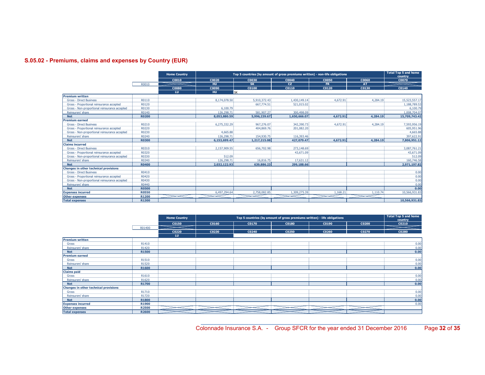## S.05.02 - Premiums, claims and expenses by Country (EUR)

|                                               |              | <b>Home Country</b> |              |              | Top 5 countries (by amount of gross premiums written) - non-life obligations |              |              | <b>Total Top 5 and home</b><br>country |
|-----------------------------------------------|--------------|---------------------|--------------|--------------|------------------------------------------------------------------------------|--------------|--------------|----------------------------------------|
|                                               |              | C0010               | C0020        | C0030        | C0040                                                                        | <b>COO50</b> | <b>C0060</b> | <b>C0070</b>                           |
|                                               | R0010        |                     | <b>HU</b>    | <b>SK</b>    | CZ.                                                                          | <b>FR</b>    | <b>AT</b>    |                                        |
|                                               |              | <b>C0080</b>        | C0090        | C0100        | C0110                                                                        | C0120        | C0130        | C0140                                  |
|                                               |              | LU.                 | HU<br>SK     |              |                                                                              |              |              |                                        |
| <b>Premium written</b>                        |              |                     |              |              |                                                                              |              |              |                                        |
| <b>Gross - Direct Business</b>                | R0110        |                     | 8.174.078.50 | 5.910.372.43 | 1,430,149,14                                                                 | 4,672.91     | 4.284.19     | 15,523,557.17                          |
| Gross - Proportional reinsurance accepted     | R0120        |                     |              | 667.774.51   | 521.015.02                                                                   |              |              | 1,188,789.53                           |
| Gross - Non-proportional reinsurance accepted | R0130        |                     | 6.100.79     |              |                                                                              |              |              | 6.100.79                               |
| Reinsurers' share                             | R0140        |                     | 126,298.71   | 581.907.27   | 300,498.09                                                                   |              |              | 1.008.704.07                           |
| <b>Net</b>                                    | <b>R0200</b> |                     | 8,053,880.59 | 5,996,239.67 | 1,650,666.07                                                                 | 4,672.91     | 4.284.19     | 15,709,743.42                          |
| <b>Premium earned</b>                         |              |                     |              |              |                                                                              |              |              |                                        |
| <b>Gross - Direct Business</b>                | R0210        |                     | 6,275,332.29 | 967.276.07   | 342.390.73                                                                   | 4,672.91     | 4.284.19     | 7,593,956.19                           |
| Gross - Proportional reinsurance accepted     | R0220        |                     |              | 404,869.76   | 201.082.20                                                                   |              |              | 605,951.96                             |
| Gross - Non-proportional reinsurance accepted | R0230        |                     | 4,665.88     |              |                                                                              |              |              | 4.665.88                               |
| Reinsurers' share                             | R0240        |                     | 126,298.71   | 154,930.75   | 116,393,46                                                                   |              |              | 397.622.91                             |
| <b>Net</b>                                    | <b>R0300</b> |                     | 6.153.699.47 | 1.217.215.08 | 427.079.47                                                                   | 4.672.91     | 4.284.19     | 7,806,951.12                           |
| <b>Claims incurred</b>                        |              |                     |              |              |                                                                              |              |              |                                        |
| <b>Gross - Direct Business</b>                | R0310        |                     | 2,157,909.55 | 656,702.98   | 273.148.69                                                                   |              |              | 3,087,761.21                           |
| Gross - Proportional reinsurance accepted     | R0320        |                     |              |              | 43,671.09                                                                    |              |              | 43,671.09                              |
| Gross - Non-proportional reinsurance accepted | R0330        |                     | 512.09       |              |                                                                              |              |              | 512.09                                 |
| Reinsurers' share                             | R0340        |                     | 126,298.71   | 16,816.75    | 17.631.12                                                                    |              |              | 160.746.58                             |
| <b>Net</b>                                    | R0400        |                     | 2.032.122.93 | 639,886,23   | 299.188.66                                                                   |              |              | 2,971,197.82                           |
| <b>Changes in other technical provisions</b>  |              |                     |              |              |                                                                              |              |              |                                        |
| <b>Gross - Direct Business</b>                | R0410        |                     |              |              |                                                                              |              |              | 0.00                                   |
| Gross - Proportional reinsurance accepted     | R0420        |                     |              |              |                                                                              |              |              | 0.00                                   |
| Gross - Non-proportional reinsurance accepted | R0430        |                     |              |              |                                                                              |              |              | 0.00                                   |
| Reinsurers' share                             | R0440        |                     |              |              |                                                                              |              |              | 0.00                                   |
| <b>Net</b>                                    | <b>R0500</b> |                     |              |              |                                                                              |              |              | 0.00                                   |
| <b>Expenses incurred</b>                      | <b>R0550</b> |                     | 6,497,294.64 | 2,758,082.85 | 1,309,275.39                                                                 | 1.168.21     | 1.110.74     | 10.566.931.83                          |
| <b>Other expenses</b>                         | R1200        |                     |              |              |                                                                              |              |              |                                        |
| <b>Total expenses</b>                         | R1300        |                     |              |              |                                                                              |              |              | 10,566,931.83                          |

|                                              |              | <b>Home Country</b> | <b>Total Top 5 and home</b><br>country |       |       |       |       |       |
|----------------------------------------------|--------------|---------------------|----------------------------------------|-------|-------|-------|-------|-------|
|                                              |              | C0150               | C0160                                  | C0170 | C0180 | C0190 | C0200 | C0210 |
|                                              | R01400       |                     |                                        |       |       |       |       |       |
|                                              |              | C0220               | C0230                                  | C0240 | C0250 | C0260 | C0270 | C0280 |
|                                              |              | LU.                 |                                        |       |       |       |       |       |
| <b>Premium written</b>                       |              |                     |                                        |       |       |       |       |       |
| Gross                                        | R1410        |                     |                                        |       |       |       |       | 0.00  |
| Reinsurers' share                            | R1420        |                     |                                        |       |       |       |       | 0.00  |
| <b>Net</b>                                   | <b>R1500</b> |                     |                                        |       |       |       |       | 0.00  |
| <b>Premium earned</b>                        |              |                     |                                        |       |       |       |       |       |
| Gross                                        | R1510        |                     |                                        |       |       |       |       | 0.00  |
| Reinsurers' share                            | R1520        |                     |                                        |       |       |       |       | 0.00  |
| <b>Net</b>                                   | R1600        |                     |                                        |       |       |       |       | 0.00  |
| <b>Claims paid</b>                           |              |                     |                                        |       |       |       |       |       |
| Gross                                        | R1610        |                     |                                        |       |       |       |       | 0.00  |
| Reinsurers' share                            | R1620        |                     |                                        |       |       |       |       | 0.00  |
| <b>Net</b>                                   | <b>R1700</b> |                     |                                        |       |       |       |       | 0.00  |
| <b>Changes in other technical provisions</b> |              |                     |                                        |       |       |       |       |       |
| Gross                                        | R1710        |                     |                                        |       |       |       |       | 0.00  |
| Reinsurers' share                            | R1720        |                     |                                        |       |       |       |       | 0.00  |
| <b>Net</b>                                   | R1800        |                     |                                        |       |       |       |       | 0.00  |
| <b>Expenses incurred</b>                     | R1900        |                     |                                        |       |       |       |       | 0.00  |
| <b>Other expenses</b>                        | <b>R2500</b> |                     |                                        |       |       |       |       |       |
| <b>Total expenses</b>                        | R2600        |                     |                                        |       |       |       |       |       |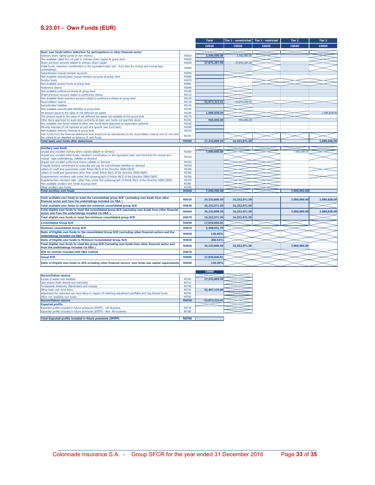## S.23.01 - Own Funds (EUR)

|                                                                                                                                                               |              | <b>Total</b>     | Tier 1 - unrestricted | Tier 1 - restricted | Tier 2       | Tier 3       |
|---------------------------------------------------------------------------------------------------------------------------------------------------------------|--------------|------------------|-----------------------|---------------------|--------------|--------------|
|                                                                                                                                                               |              | C0010            | C0020                 | C0030               | C0040        | <b>C0050</b> |
| Basic own funds before deduction for participations in other financial sector                                                                                 |              |                  |                       |                     |              |              |
| Ordinary share capital (gross of own shares)                                                                                                                  | R0010        | 2,500,000,00     | 2,500,000,00          |                     |              |              |
| Non-available called but not paid in ordinary share capital at group level                                                                                    | R0020        |                  |                       |                     |              |              |
| Share premium account related to ordinary share capital                                                                                                       | R0030        | 27,876,287.00    | 27,876,287.00         |                     |              |              |
| Initial funds, members' contributions or the equivalent basic own - fund item for mutual and mutual-type                                                      |              |                  |                       |                     |              |              |
| undertakings                                                                                                                                                  | R0040        |                  |                       |                     |              |              |
| Subordinated mutual member accounts                                                                                                                           | <b>R0050</b> |                  |                       |                     |              |              |
| Non-available subordinated mutual member accounts at group level                                                                                              | R0060        |                  |                       |                     |              |              |
| Surplus funds                                                                                                                                                 | R0070        |                  |                       |                     |              |              |
| Non-available surplus funds at group level                                                                                                                    | <b>R0080</b> |                  |                       |                     |              |              |
| Preference shares                                                                                                                                             | R0090        |                  |                       |                     |              |              |
| Non-available preference shares at group level                                                                                                                | R0100        |                  |                       |                     |              |              |
| Share premium account related to preference shares                                                                                                            | R0110        |                  |                       |                     |              |              |
| Non-available share premium account related to preference shares at group level                                                                               | R0120        |                  |                       |                     |              |              |
| <b>Reconciliation reserve</b>                                                                                                                                 | R0130        | $-15.073.315.41$ | $-15.073.315.41$      |                     |              |              |
| Subordinated liabilities                                                                                                                                      | R0140        |                  |                       |                     |              |              |
| Non-available subordinated liabilities at group level                                                                                                         | R0150        |                  |                       |                     |              |              |
| An amount equal to the value of net deferred tax assets                                                                                                       | R0160        | 1,080,838.00     |                       |                     |              | 1,080,838.00 |
| The amount equal to the value of net deferred tax assets not available at the group level                                                                     | R0170        |                  |                       |                     |              |              |
| Other items approved by supervisory authority as basic own funds not specified above                                                                          | R0180        | 950,000.00       | 950,000,00            |                     |              |              |
| Non available own funds related to other own funds items approved by supervisory authority                                                                    | R0190        |                  |                       |                     |              |              |
| Minority interests (if not reported as part of a specific own fund item)                                                                                      | R0200        |                  |                       |                     |              |              |
| Non-available minority interests at group level                                                                                                               | R0210        |                  |                       |                     |              |              |
| Own funds from the financial statements that should not be represented by the reconciliation reserve and do not meet                                          | R0220        |                  |                       |                     |              |              |
| the criteria to be classified as Solvency II own funds                                                                                                        |              |                  |                       |                     |              |              |
| <b>Total basic own funds after deductions</b>                                                                                                                 | <b>R0290</b> | 17,333,809.59    | 16,252,971.59         |                     |              | 1,080,838.00 |
| <b>Ancillary own funds</b>                                                                                                                                    |              |                  |                       |                     |              |              |
| Unpaid and uncalled ordinary share capital callable on demand                                                                                                 | R0300        | 7.000.000.00     |                       |                     | 7.000.000.00 |              |
| Unpaid and uncalled initial funds, members' contributions or the equivalent basic own fund item for mutual and                                                |              |                  |                       |                     |              |              |
| mutual - type undertakings, callable on demand                                                                                                                | R0310        |                  |                       |                     |              |              |
| Unpaid and uncalled preference shares callable on demand                                                                                                      | R0320        |                  |                       |                     |              |              |
| A legally binding commitment to subscribe and pay for subordinated liabilities on demand                                                                      | R0330        |                  |                       |                     |              |              |
| Letters of credit and quarantees under Article 96(2) of the Directive 2009/138/EC                                                                             | R0340        |                  |                       |                     |              |              |
| Letters of credit and guarantees other than under Article 96(2) of the Directive 2009/138/EC                                                                  | R0350        |                  |                       |                     |              |              |
| Supplementary members calls under first subparagraph of Article 96(3) of the Directive 2009/138/EC                                                            | R0360        |                  |                       |                     |              |              |
| Supplementary members calls - other than under first subparagraph of Article 96(3) of the Directive 2009/138/EC                                               | R0370        |                  |                       |                     |              |              |
| Non available ancillary own funds at group level                                                                                                              | R0380        |                  |                       |                     |              |              |
| Other ancillary own funds                                                                                                                                     | R0390        |                  |                       |                     |              |              |
| <b>Total ancillary own funds</b>                                                                                                                              | <b>R0400</b> | 7,000,000.00     |                       |                     | 7,000,000.00 |              |
|                                                                                                                                                               |              |                  |                       |                     |              |              |
| Total available own funds to meet the consolidated group SCR (excluding own funds from other<br>financial sector and from the undertakings included via D&A ) | <b>R0520</b> | 24,333,809.59    | 16,252,971.59         |                     | 7,000,000.00 | 1,080,838.00 |
| Total available own funds to meet the minimum consolidated group SCR                                                                                          | <b>R0530</b> | 16,252,971.59    | 16,252,971.59         |                     |              |              |
| Total eligible own funds to meet the consolidated group SCR (excluding own funds from other financial<br>sector and from the undertakings included via D&A )  | <b>R0560</b> | 24,333,809.59    | 16,252,971.59         |                     | 7,000,000.00 | 1,080,838.00 |
| Total eligible own funds to meet the minimum consolidated group SCR                                                                                           | <b>R0570</b> | 16,252,971.59    | 16,252,971.59         |                     |              |              |
| <b>Consolidated Group SCR</b>                                                                                                                                 | <b>R0590</b> | 17,839,846.81    |                       |                     |              |              |
| <b>Minimum consolidated Group SCR</b>                                                                                                                         | R0610        | 5,408,051.70     |                       |                     |              |              |
| Ratio of Eligible own funds to the consolidated Group SCR (excluding other financial sectors and the                                                          |              |                  |                       |                     |              |              |
| undertakings included via D&A )                                                                                                                               | R0630        | 136,40%          |                       |                     |              |              |
| Ratio of Eligible own funds to Minimum Consolidated Group SCR                                                                                                 | R0650        | 300.53%          |                       |                     |              |              |
| Total eligible own funds to meet the group SCR (including own funds from other financial sector and<br>from the undertakings included via D&A )               | <b>R0660</b> | 24,333,809.59    | 16,252,971.59         |                     | 7,000,000.00 |              |
| <b>SCR for entities included with D&amp;A method</b>                                                                                                          | <b>R0670</b> |                  |                       |                     |              |              |
| <b>Group SCR</b>                                                                                                                                              | <b>R0680</b> | 17,839,846.81    |                       |                     |              |              |
| Ratio of Eligible own funds to SCR including other financial sectors' own funds and capital requirements                                                      | <b>R0690</b> | 136.40%          |                       |                     |              |              |

|                                                                                                             |                   | <b>C0060</b>     |  |
|-------------------------------------------------------------------------------------------------------------|-------------------|------------------|--|
| <b>Reconciliation reserve</b>                                                                               |                   |                  |  |
| <b>Excess of assets over liabilities</b>                                                                    | R0700             | 17,333,809.59    |  |
| Own shares (held directly and indirectly)                                                                   | R0710             |                  |  |
| Foreseeable dividends, distributions and charges                                                            | R0720             |                  |  |
| Other basic own fund items                                                                                  | R0730             | 32,407,125,00    |  |
| Adjustment for restricted own fund items in respect of matching adjustment portfolios and ring fenced funds | R <sub>0740</sub> |                  |  |
| Other non available own funds                                                                               | R0750             |                  |  |
| <b>Reconciliation reserve</b>                                                                               | <b>R0760</b>      | $-15.073.315.41$ |  |
| <b>Expected profits</b>                                                                                     |                   |                  |  |
| Expected profits included in future premiums (EPIFP) - Life Business                                        | R0770             |                  |  |
| Expected profits included in future premiums (EPIFP) - Non- life business                                   | R0780             |                  |  |
|                                                                                                             |                   |                  |  |
| Total Expected profits included in future premiums (EPIFP)                                                  | R0790             |                  |  |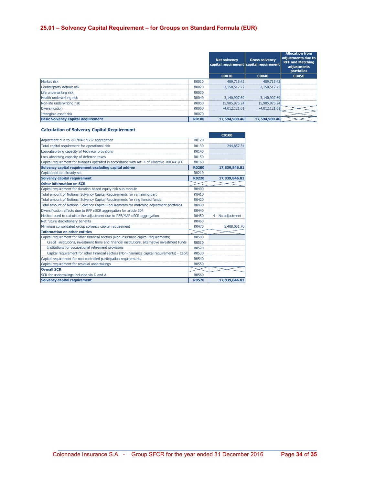## 25.01 – Solvency Capital Requirement – for Groups on Standard Formula (EUR)

|                                           |              | <b>Net solvency</b><br>capital requirement capital requirement | <b>Gross solvency</b> | <b>Allocation from</b><br>adjustments due to<br><b>RFF and Matching</b><br>adjustments<br>portfolios |
|-------------------------------------------|--------------|----------------------------------------------------------------|-----------------------|------------------------------------------------------------------------------------------------------|
|                                           |              | C0030                                                          | C0040                 | <b>C0050</b>                                                                                         |
| Market risk                               | R0010        | 409.715.42                                                     | 409,715.42            |                                                                                                      |
| Counterparty default risk                 | R0020        | 2,150,512.72                                                   | 2,150,512.72          |                                                                                                      |
| Life underwriting risk                    | R0030        |                                                                |                       |                                                                                                      |
| Health underwriting risk                  | R0040        | 3,140,907.69                                                   | 3,140,907.69          |                                                                                                      |
| Non-life underwriting risk                | R0050        | 15,905,975.24                                                  | 15,905,975.24         |                                                                                                      |
| <b>Diversification</b>                    | R0060        | $-4.012.121.61$                                                | $-4.012.121.61$       |                                                                                                      |
| Intangible asset risk                     | R0070        |                                                                |                       |                                                                                                      |
| <b>Basic Solvency Capital Requirement</b> | <b>R0100</b> | 17,594,989,46                                                  | 17,594,989.46         |                                                                                                      |

#### Calculation of Solvency Capital Requirement

|                                                                                                |              | <b>C0100</b>      |
|------------------------------------------------------------------------------------------------|--------------|-------------------|
| Adjustment due to RFF/MAP nSCR aggregation                                                     | R0120        |                   |
| Total capital requirement for operational risk                                                 | R0130        | 244,857.34        |
| Loss-absorbing capacity of technical provisions                                                | R0140        |                   |
| Loss-absorbing capacity of deferred taxes                                                      | R0150        |                   |
| Capital requirement for business operated in accordance with Art. 4 of Directive 2003/41/EC    | R0160        |                   |
| Solvency capital requirement excluding capital add-on                                          | <b>R0200</b> | 17,839,846.81     |
| Capital add-on already set                                                                     | R0210        |                   |
| <b>Solvency capital requirement</b>                                                            | <b>R0220</b> | 17,839,846.81     |
| <b>Other information on SCR</b>                                                                |              |                   |
| Capital requirement for duration-based equity risk sub-module                                  | R0400        |                   |
| Total amount of Notional Solvency Capital Requirements for remaining part                      | R0410        |                   |
| Total amount of Notional Solvency Capital Requirements for ring fenced funds                   | R0420        |                   |
| Total amount of Notional Solvency Capital Requirements for matching adjustment portfolios      | R0430        |                   |
| Diversification effects due to RFF nSCR aggregation for article 304                            | R0440        |                   |
| Method used to calculate the adjustment due to RFF/MAP nSCR aggregation                        | R0450        | 4 - No adjustment |
| Net future discretionary benefits                                                              | R0460        |                   |
| Minimum consolidated group solvency capital requirement                                        | R0470        | 5,408,051.70      |
| <b>Information on other entities</b>                                                           |              |                   |
| Capital requirement for other financial sectors (Non-insurance capital requirements)           | R0500        |                   |
| Credit institutions, investment firms and financial institutions, alternative investment funds | R0510        |                   |
| Institutions for occupational retirement provisions                                            | R0520        |                   |
| Capital requirement for other financial sectors (Non-insurance capital requirements) - Capital | R0530        |                   |
| Capital requirement for non-controlled participation requirements                              | R0540        |                   |
| Capital requirement for residual undertakings                                                  | R0550        |                   |
| <b>Overall SCR</b>                                                                             |              |                   |
| SCR for undertakings included via D and A                                                      | R0560        |                   |
| <b>Solvency capital requirement</b>                                                            | <b>R0570</b> | 17.839.846.81     |